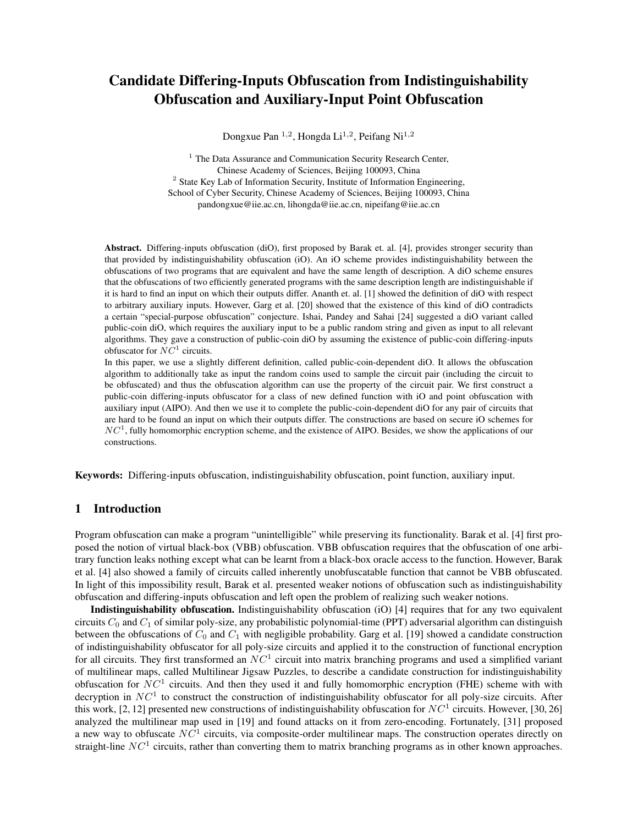# Candidate Differing-Inputs Obfuscation from Indistinguishability Obfuscation and Auxiliary-Input Point Obfuscation

Dongxue Pan <sup>1,2</sup>, Hongda Li<sup>1,2</sup>, Peifang Ni<sup>1,2</sup>

 $1$  The Data Assurance and Communication Security Research Center, Chinese Academy of Sciences, Beijing 100093, China <sup>2</sup> State Key Lab of Information Security, Institute of Information Engineering, School of Cyber Security, Chinese Academy of Sciences, Beijing 100093, China pandongxue@iie.ac.cn, lihongda@iie.ac.cn, nipeifang@iie.ac.cn

Abstract. Differing-inputs obfuscation (diO), first proposed by Barak et. al. [4], provides stronger security than that provided by indistinguishability obfuscation (iO). An iO scheme provides indistinguishability between the obfuscations of two programs that are equivalent and have the same length of description. A diO scheme ensures that the obfuscations of two efficiently generated programs with the same description length are indistinguishable if it is hard to find an input on which their outputs differ. Ananth et. al. [1] showed the definition of diO with respect to arbitrary auxiliary inputs. However, Garg et al. [20] showed that the existence of this kind of diO contradicts a certain "special-purpose obfuscation" conjecture. Ishai, Pandey and Sahai [24] suggested a diO variant called public-coin diO, which requires the auxiliary input to be a public random string and given as input to all relevant algorithms. They gave a construction of public-coin diO by assuming the existence of public-coin differing-inputs obfuscator for  $NC^1$  circuits.

In this paper, we use a slightly different definition, called public-coin-dependent diO. It allows the obfuscation algorithm to additionally take as input the random coins used to sample the circuit pair (including the circuit to be obfuscated) and thus the obfuscation algorithm can use the property of the circuit pair. We first construct a public-coin differing-inputs obfuscator for a class of new defined function with iO and point obfuscation with auxiliary input (AIPO). And then we use it to complete the public-coin-dependent diO for any pair of circuits that are hard to be found an input on which their outputs differ. The constructions are based on secure iO schemes for  $NC<sup>1</sup>$ , fully homomorphic encryption scheme, and the existence of AIPO. Besides, we show the applications of our constructions.

Keywords: Differing-inputs obfuscation, indistinguishability obfuscation, point function, auxiliary input.

# 1 Introduction

Program obfuscation can make a program "unintelligible" while preserving its functionality. Barak et al. [4] first proposed the notion of virtual black-box (VBB) obfuscation. VBB obfuscation requires that the obfuscation of one arbitrary function leaks nothing except what can be learnt from a black-box oracle access to the function. However, Barak et al. [4] also showed a family of circuits called inherently unobfuscatable function that cannot be VBB obfuscated. In light of this impossibility result, Barak et al. presented weaker notions of obfuscation such as indistinguishability obfuscation and differing-inputs obfuscation and left open the problem of realizing such weaker notions.

Indistinguishability obfuscation. Indistinguishability obfuscation (iO) [4] requires that for any two equivalent circuits  $C_0$  and  $C_1$  of similar poly-size, any probabilistic polynomial-time (PPT) adversarial algorithm can distinguish between the obfuscations of  $C_0$  and  $C_1$  with negligible probability. Garg et al. [19] showed a candidate construction of indistinguishability obfuscator for all poly-size circuits and applied it to the construction of functional encryption for all circuits. They first transformed an  $NC<sup>1</sup>$  circuit into matrix branching programs and used a simplified variant of multilinear maps, called Multilinear Jigsaw Puzzles, to describe a candidate construction for indistinguishability obfuscation for  $NC<sup>1</sup>$  circuits. And then they used it and fully homomorphic encryption (FHE) scheme with with decryption in  $NC<sup>1</sup>$  to construct the construction of indistinguishability obfuscator for all poly-size circuits. After this work, [2, 12] presented new constructions of indistinguishability obfuscation for  $NC^1$  circuits. However, [30, 26] analyzed the multilinear map used in [19] and found attacks on it from zero-encoding. Fortunately, [31] proposed a new way to obfuscate  $NC^1$  circuits, via composite-order multilinear maps. The construction operates directly on straight-line  $NC<sup>1</sup>$  circuits, rather than converting them to matrix branching programs as in other known approaches.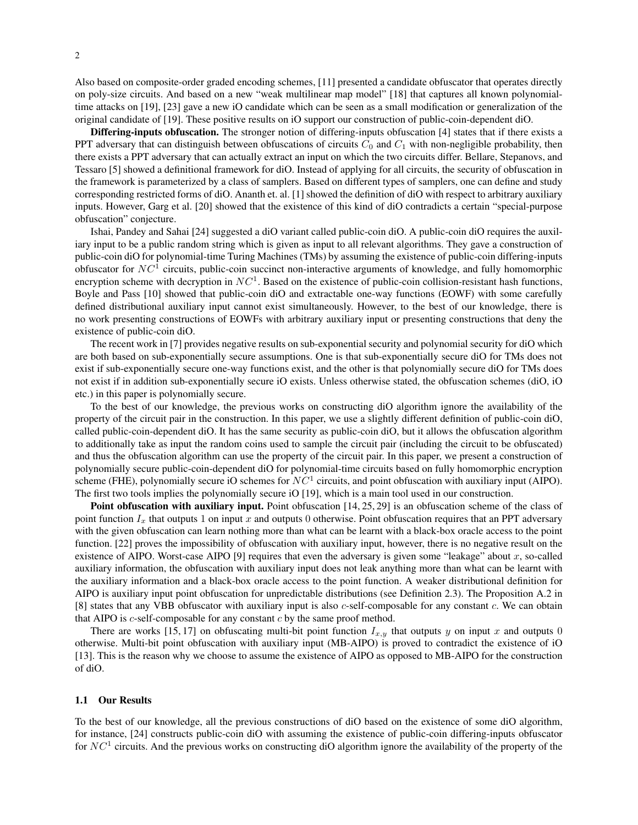Also based on composite-order graded encoding schemes, [11] presented a candidate obfuscator that operates directly on poly-size circuits. And based on a new "weak multilinear map model" [18] that captures all known polynomialtime attacks on [19], [23] gave a new iO candidate which can be seen as a small modification or generalization of the original candidate of [19]. These positive results on iO support our construction of public-coin-dependent diO.

Differing-inputs obfuscation. The stronger notion of differing-inputs obfuscation [4] states that if there exists a PPT adversary that can distinguish between obfuscations of circuits  $C_0$  and  $C_1$  with non-negligible probability, then there exists a PPT adversary that can actually extract an input on which the two circuits differ. Bellare, Stepanovs, and Tessaro [5] showed a definitional framework for diO. Instead of applying for all circuits, the security of obfuscation in the framework is parameterized by a class of samplers. Based on different types of samplers, one can define and study corresponding restricted forms of diO. Ananth et. al. [1] showed the definition of diO with respect to arbitrary auxiliary inputs. However, Garg et al. [20] showed that the existence of this kind of diO contradicts a certain "special-purpose obfuscation" conjecture.

Ishai, Pandey and Sahai [24] suggested a diO variant called public-coin diO. A public-coin diO requires the auxiliary input to be a public random string which is given as input to all relevant algorithms. They gave a construction of public-coin diO for polynomial-time Turing Machines (TMs) by assuming the existence of public-coin differing-inputs obfuscator for  $NC<sup>1</sup>$  circuits, public-coin succinct non-interactive arguments of knowledge, and fully homomorphic encryption scheme with decryption in  $NC<sup>1</sup>$ . Based on the existence of public-coin collision-resistant hash functions, Boyle and Pass [10] showed that public-coin diO and extractable one-way functions (EOWF) with some carefully defined distributional auxiliary input cannot exist simultaneously. However, to the best of our knowledge, there is no work presenting constructions of EOWFs with arbitrary auxiliary input or presenting constructions that deny the existence of public-coin diO.

The recent work in [7] provides negative results on sub-exponential security and polynomial security for diO which are both based on sub-exponentially secure assumptions. One is that sub-exponentially secure diO for TMs does not exist if sub-exponentially secure one-way functions exist, and the other is that polynomially secure diO for TMs does not exist if in addition sub-exponentially secure iO exists. Unless otherwise stated, the obfuscation schemes (diO, iO etc.) in this paper is polynomially secure.

To the best of our knowledge, the previous works on constructing diO algorithm ignore the availability of the property of the circuit pair in the construction. In this paper, we use a slightly different definition of public-coin diO, called public-coin-dependent diO. It has the same security as public-coin diO, but it allows the obfuscation algorithm to additionally take as input the random coins used to sample the circuit pair (including the circuit to be obfuscated) and thus the obfuscation algorithm can use the property of the circuit pair. In this paper, we present a construction of polynomially secure public-coin-dependent diO for polynomial-time circuits based on fully homomorphic encryption scheme (FHE), polynomially secure iO schemes for  $NC<sup>1</sup>$  circuits, and point obfuscation with auxiliary input (AIPO). The first two tools implies the polynomially secure iO [19], which is a main tool used in our construction.

Point obfuscation with auxiliary input. Point obfuscation [14, 25, 29] is an obfuscation scheme of the class of point function  $I_x$  that outputs 1 on input x and outputs 0 otherwise. Point obfuscation requires that an PPT adversary with the given obfuscation can learn nothing more than what can be learnt with a black-box oracle access to the point function. [22] proves the impossibility of obfuscation with auxiliary input, however, there is no negative result on the existence of AIPO. Worst-case AIPO [9] requires that even the adversary is given some "leakage" about  $x$ , so-called auxiliary information, the obfuscation with auxiliary input does not leak anything more than what can be learnt with the auxiliary information and a black-box oracle access to the point function. A weaker distributional definition for AIPO is auxiliary input point obfuscation for unpredictable distributions (see Definition 2.3). The Proposition A.2 in [8] states that any VBB obfuscator with auxiliary input is also c-self-composable for any constant c. We can obtain that AIPO is  $c$ -self-composable for any constant  $c$  by the same proof method.

There are works [15, 17] on obfuscating multi-bit point function  $I_{x,y}$  that outputs y on input x and outputs 0 otherwise. Multi-bit point obfuscation with auxiliary input (MB-AIPO) is proved to contradict the existence of iO [13]. This is the reason why we choose to assume the existence of AIPO as opposed to MB-AIPO for the construction of diO.

#### 1.1 Our Results

To the best of our knowledge, all the previous constructions of diO based on the existence of some diO algorithm, for instance, [24] constructs public-coin diO with assuming the existence of public-coin differing-inputs obfuscator for  $NC<sup>1</sup>$  circuits. And the previous works on constructing diO algorithm ignore the availability of the property of the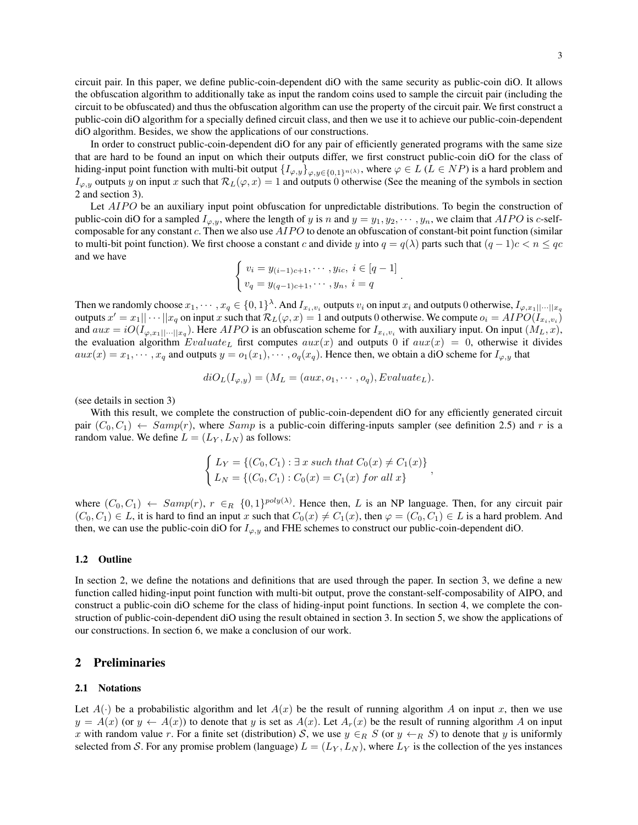circuit pair. In this paper, we define public-coin-dependent diO with the same security as public-coin diO. It allows the obfuscation algorithm to additionally take as input the random coins used to sample the circuit pair (including the circuit to be obfuscated) and thus the obfuscation algorithm can use the property of the circuit pair. We first construct a public-coin diO algorithm for a specially defined circuit class, and then we use it to achieve our public-coin-dependent diO algorithm. Besides, we show the applications of our constructions.

In order to construct public-coin-dependent diO for any pair of efficiently generated programs with the same size that are hard to be found an input on which their outputs differ, we first construct public-coin diO for the class of hiding-input point function with multi-bit output  $\{I_{\varphi,y}\}_{\varphi,y\in\{0,1\}^{n(\lambda)}},$  where  $\varphi \in L$  ( $L \in NP$ ) is a hard problem and  $I_{\varphi,y}$  outputs y on input x such that  $\mathcal{R}_L(\varphi, x) = 1$  and outputs 0 otherwise (See the meaning of the symbols in section 2 and section 3).

Let AIPO be an auxiliary input point obfuscation for unpredictable distributions. To begin the construction of public-coin diO for a sampled  $I_{\varphi,y}$ , where the length of y is n and  $y = y_1, y_2, \dots, y_n$ , we claim that AIPO is c-selfcomposable for any constant c. Then we also use  $AIPO$  to denote an obfuscation of constant-bit point function (similar to multi-bit point function). We first choose a constant c and divide y into  $q = q(\lambda)$  parts such that  $(q - 1)c < n \leq qc$ and we have

$$
\begin{cases} v_i = y_{(i-1)c+1}, \cdots, y_{ic}, \ i \in [q-1] \\ v_q = y_{(q-1)c+1}, \cdots, y_n, \ i = q \end{cases}
$$

.

Then we randomly choose  $x_1, \dots, x_q \in \{0,1\}^{\lambda}$ . And  $I_{x_i, v_i}$  outputs  $v_i$  on input  $x_i$  and outputs 0 otherwise,  $I_{\varphi, x_1||\cdots||x_q}$ outputs  $x'=x_1||\cdots||x_q$  on input x such that  $\mathcal{R}_L(\varphi,x)=1$  and outputs 0 otherwise. We compute  $o_i=AIPO(I_{x_i,v_i})$ and  $aux = iO(I_{\varphi,x_1||\cdots||x_q})$ . Here AIPO is an obfuscation scheme for  $I_{x_i,v_i}$  with auxiliary input. On input  $(M_L, x)$ , the evaluation algorithm  $Evaluate_L$  first computes  $aux(x)$  and outputs 0 if  $aux(x) = 0$ , otherwise it divides  $aux(x) = x_1, \dots, x_q$  and outputs  $y = o_1(x_1), \dots, o_q(x_q)$ . Hence then, we obtain a diO scheme for  $I_{\varphi, y}$  that

$$
diO_L(I_{\varphi,y}) = (M_L = (aux, o_1, \cdots, o_q), Evaluate_L).
$$

(see details in section 3)

With this result, we complete the construction of public-coin-dependent diO for any efficiently generated circuit pair  $(C_0, C_1) \leftarrow Samp(r)$ , where  $Samp$  is a public-coin differing-inputs sampler (see definition 2.5) and r is a random value. We define  $L = (L_Y, L_N)$  as follows:

$$
\begin{cases}\nL_Y = \{ (C_0, C_1) : \exists x \text{ such that } C_0(x) \neq C_1(x) \} \\
L_N = \{ (C_0, C_1) : C_0(x) = C_1(x) \text{ for all } x \}\n\end{cases}
$$

where  $(C_0, C_1) \leftarrow Samp(r), r \in_R \{0, 1\}^{poly(\lambda)}$ . Hence then, L is an NP language. Then, for any circuit pair  $(C_0, C_1) \in L$ , it is hard to find an input x such that  $C_0(x) \neq C_1(x)$ , then  $\varphi = (C_0, C_1) \in L$  is a hard problem. And then, we can use the public-coin diO for  $I_{\varphi, y}$  and FHE schemes to construct our public-coin-dependent diO.

#### 1.2 Outline

In section 2, we define the notations and definitions that are used through the paper. In section 3, we define a new function called hiding-input point function with multi-bit output, prove the constant-self-composability of AIPO, and construct a public-coin diO scheme for the class of hiding-input point functions. In section 4, we complete the construction of public-coin-dependent diO using the result obtained in section 3. In section 5, we show the applications of our constructions. In section 6, we make a conclusion of our work.

# 2 Preliminaries

#### 2.1 Notations

Let  $A(\cdot)$  be a probabilistic algorithm and let  $A(x)$  be the result of running algorithm A on input x, then we use  $y = A(x)$  (or  $y \leftarrow A(x)$ ) to denote that y is set as  $A(x)$ . Let  $A<sub>r</sub>(x)$  be the result of running algorithm A on input x with random value r. For a finite set (distribution) S, we use  $y \in_R S$  (or  $y \leftarrow_R S$ ) to denote that y is uniformly selected from S. For any promise problem (language)  $L = (L_Y, L_N)$ , where  $L_Y$  is the collection of the yes instances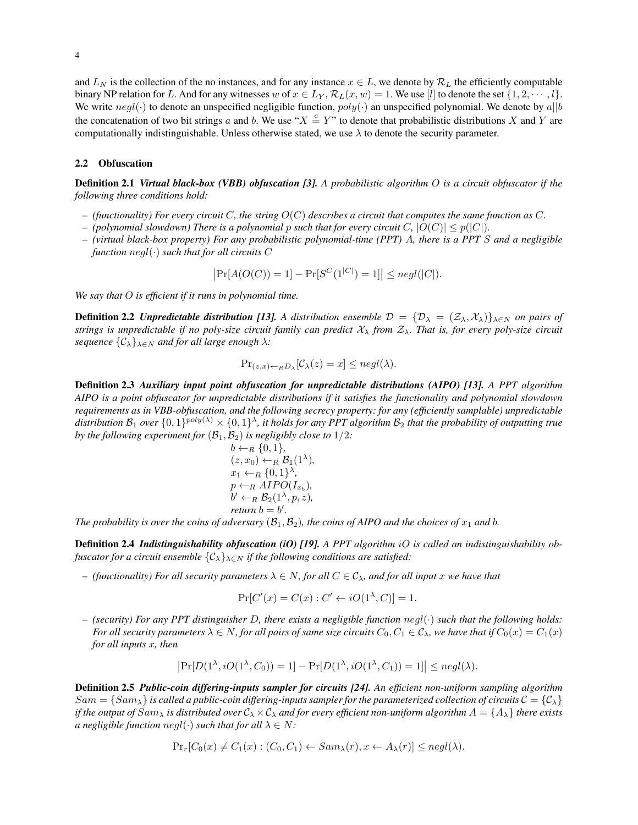and  $L_N$  is the collection of the no instances, and for any instance  $x \in L$ , we denote by  $\mathcal{R}_L$  the efficiently computable binary NP relation for L. And for any witnesses w of  $x \in L_Y$ ,  $\mathcal{R}_L(x, w) = 1$ . We use [l] to denote the set  $\{1, 2, \dots, l\}$ . We write  $negl(\cdot)$  to denote an unspecified negligible function,  $poly(\cdot)$  an unspecified polynomial. We denote by a||b the concatenation of two bit strings a and b. We use " $X \stackrel{c}{=} Y$ " to denote that probabilistic distributions X and Y are computationally indistinguishable. Unless otherwise stated, we use  $\lambda$  to denote the security parameter.

### 2.2 Obfuscation

Definition 2.1 *Virtual black-box (VBB) obfuscation [3]. A probabilistic algorithm* O *is a circuit obfuscator if the following three conditions hold:*

- *– (functionality) For every circuit* C*, the string* O(C) *describes a circuit that computes the same function as* C*.*
- *–* (polynomial slowdown) There is a polynomial p such that for every circuit C,  $|O(C)| \leq p(|C|)$ .
- *– (virtual black-box property) For any probabilistic polynomial-time (PPT)* A*, there is a PPT* S *and a negligible function* negl(·) *such that for all circuits* C

$$
|\Pr[A(O(C)) = 1] - \Pr[S^C(1^{|C|}) = 1]| \leq negl(|C|).
$$

*We say that* O *is efficient if it runs in polynomial time.*

**Definition 2.2** *Unpredictable distribution [13]. A distribution ensemble*  $\mathcal{D} = {\mathcal{D}_\lambda = (\mathcal{Z}_\lambda, \mathcal{X}_\lambda)}_{\lambda \in N}$  *on pairs of strings is unpredictable if no poly-size circuit family can predict*  $\mathcal{X}_{\lambda}$  *from*  $\mathcal{Z}_{\lambda}$ *. That is, for every poly-size circuit sequence*  $\{C_{\lambda}\}_{\lambda \in N}$  *and for all large enough*  $\lambda$ *:* 

$$
\Pr_{(z,x)\leftarrow_R D_\lambda}[\mathcal{C}_\lambda(z) = x] \leq negl(\lambda).
$$

Definition 2.3 *Auxiliary input point obfuscation for unpredictable distributions (AIPO) [13]. A PPT algorithm AIPO is a point obfuscator for unpredictable distributions if it satisfies the functionality and polynomial slowdown requirements as in VBB-obfuscation, and the following secrecy property: for any (efficiently samplable) unpredictable* distribution  $\mathcal{B}_1$  over  $\{0,1\}^{poly(\lambda)}\times\{0,1\}^\lambda$ , it holds for any PPT algorithm  $\mathcal{B}_2$  that the probability of outputting true *by the following experiment for*  $(\mathcal{B}_1, \mathcal{B}_2)$  *is negligibly close to*  $1/2$ *:* 

$$
b \leftarrow_R \{0, 1\},
$$
  
(z, x<sub>0</sub>)  $\leftarrow_R \mathcal{B}_1(1^{\lambda}),$   
x<sub>1</sub> $\leftarrow_R \{0, 1\}^{\lambda},$   
p  $\leftarrow_R AIPO(I_{x_b}),$   
b'  $\leftarrow_R \mathcal{B}_2(1^{\lambda}, p, z),$   
return  $b = b'.$ 

*The probability is over the coins of adversary*  $(\mathcal{B}_1, \mathcal{B}_2)$ *, the coins of AIPO and the choices of*  $x_1$  *and b.* 

Definition 2.4 *Indistinguishability obfuscation (iO) [19]. A PPT algorithm* iO *is called an indistinguishability obfuscator for a circuit ensemble*  $\{\mathcal{C}_{\lambda}\}_{\lambda \in N}$  *if the following conditions are satisfied:* 

*–* (functionality) For all security parameters  $\lambda \in N$ , for all  $C \in \mathcal{C}_{\lambda}$ , and for all input x we have that

$$
\Pr[C'(x) = C(x) : C' \leftarrow iO(1^{\lambda}, C)] = 1.
$$

*– (security) For any PPT distinguisher* D*, there exists a negligible function* negl(·) *such that the following holds: For all security parameters*  $\lambda \in N$ , *for all pairs of same size circuits*  $C_0$ ,  $C_1 \in C_\lambda$ , we have that if  $C_0(x) = C_1(x)$ *for all inputs* x*, then*

$$
\left|\Pr[D(1^{\lambda}, iO(1^{\lambda}, C_0)) = 1] - \Pr[D(1^{\lambda}, iO(1^{\lambda}, C_1)) = 1]\right| \leq negl(\lambda).
$$

Definition 2.5 *Public-coin differing-inputs sampler for circuits [24]. An efficient non-uniform sampling algorithm*  $Sam = \{Sam_\lambda\}$  *is called a public-coin differing-inputs sampler for the parameterized collection of circuits*  $C = \{C_\lambda\}$ *if the output of*  $Sam_\lambda$  *is distributed over*  $C_\lambda \times C_\lambda$  *and for every efficient non-uniform algorithm*  $A = \{A_\lambda\}$  *there exists a negligible function*  $negl(\cdot)$  *such that for all*  $\lambda \in N$ *:* 

$$
\Pr_r[C_0(x) \neq C_1(x) : (C_0, C_1) \leftarrow Sam_\lambda(r), x \leftarrow A_\lambda(r)] \leq negl(\lambda).
$$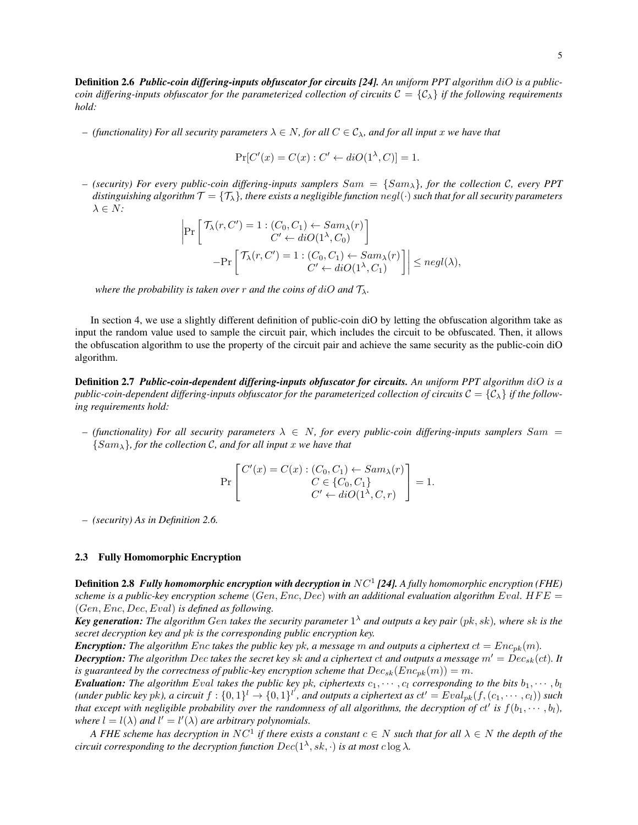Definition 2.6 *Public-coin differing-inputs obfuscator for circuits [24]. An uniform PPT algorithm* diO *is a publiccoin differing-inputs obfuscator for the parameterized collection of circuits*  $C = \{C_{\lambda}\}\$  *if the following requirements hold:*

*–* (functionality) For all security parameters  $\lambda \in N$ , for all  $C \in \mathcal{C}_{\lambda}$ , and for all input x we have that

$$
Pr[C'(x) = C(x) : C' \leftarrow diO(1^{\lambda}, C)] = 1.
$$

*– (security) For every public-coin differing-inputs samplers* Sam = {Samλ}*, for the collection* C*, every PPT distinguishing algorithm*  $\mathcal{T} = \{T_{\lambda}\}\$ *, there exists a negligible function negl*( $\cdot$ ) *such that for all security parameters*  $\lambda \in N$ :

$$
\left| \Pr \left[ \begin{array}{c} \mathcal{T}_{\lambda}(r, C') = 1 : (C_0, C_1) \leftarrow Sam_{\lambda}(r) \\ C' \leftarrow diO(1^{\lambda}, C_0) \end{array} \right] - \Pr \left[ \begin{array}{c} \mathcal{T}_{\lambda}(r, C') = 1 : (C_0, C_1) \leftarrow Sam_{\lambda}(r) \\ C' \leftarrow diO(1^{\lambda}, C_1) \end{array} \right] \right| \le negl(\lambda),
$$

*where the probability is taken over* r *and the coins of diO and*  $\mathcal{T}_{\lambda}$ *.* 

In section 4, we use a slightly different definition of public-coin diO by letting the obfuscation algorithm take as input the random value used to sample the circuit pair, which includes the circuit to be obfuscated. Then, it allows the obfuscation algorithm to use the property of the circuit pair and achieve the same security as the public-coin diO algorithm.

Definition 2.7 *Public-coin-dependent differing-inputs obfuscator for circuits. An uniform PPT algorithm* diO *is a public-coin-dependent differing-inputs obfuscator for the parameterized collection of circuits*  $C = \{C_\lambda\}$  *if the following requirements hold:*

*– (functionality) For all security parameters* λ ∈ N*, for every public-coin differing-inputs samplers* Sam = {Samλ}*, for the collection* C*, and for all input* x *we have that*

$$
\Pr\left[\begin{matrix}C'(x) = C(x) : (C_0, C_1) \leftarrow Sam_\lambda(r) \\ C \in \{C_0, C_1\} \\ C' \leftarrow diO(1^\lambda, C, r)\end{matrix}\right] = 1.
$$

*– (security) As in Definition 2.6.*

### 2.3 Fully Homomorphic Encryption

Definition 2.8 *Fully homomorphic encryption with decryption in* NC<sup>1</sup> *[24]. A fully homomorphic encryption (FHE) scheme is a public-key encryption scheme* (Gen, Enc, Dec) with an additional evaluation algorithm Eval.  $HFE =$ (Gen, Enc, Dec, Eval) *is defined as following.*

*Key generation: The algorithm* Gen *takes the security parameter* 1 <sup>λ</sup> *and outputs a key pair* (pk, sk)*, where* sk *is the secret decryption key and* pk *is the corresponding public encryption key.*

*Encryption:* The algorithm Enc takes the public key pk, a message m and outputs a ciphertext  $ct = Enc_{pk}(m)$ .

**Decryption:** The algorithm Dec takes the secret key sk and a ciphertext ct and outputs a message  $m' = Dec_{sk}(ct)$ . It *is guaranteed by the correctness of public-key encryption scheme that*  $Dec_{sk}(Enc_{pk}(m)) = m$ .

**Evaluation:** The algorithm Eval takes the public key pk, ciphertexts  $c_1, \dots, c_l$  corresponding to the bits  $b_1, \dots, b_l$  $($ under public key pk $)$ , a circuit  $f: \{0,1\}^l \to \{0,1\}^{l'}$ , and outputs a ciphertext as  $ct' = Eval_{pk}(f, (c_1, \cdots, c_l))$  such *that except with negligible probability over the randomness of all algorithms, the decryption of*  $ct'$  *is*  $f(b_1, \dots, b_l)$ *, where*  $l = l(\lambda)$  *and*  $l' = l'(\lambda)$  *are arbitrary polynomials.* 

*A FHE scheme has decryption in*  $NC^1$  *if there exists a constant*  $c \in N$  *such that for all*  $\lambda \in N$  *the depth of the circuit corresponding to the decryption function*  $Dec(1^{\lambda}, sk, \cdot)$  *is at most c* log  $\lambda$ *.*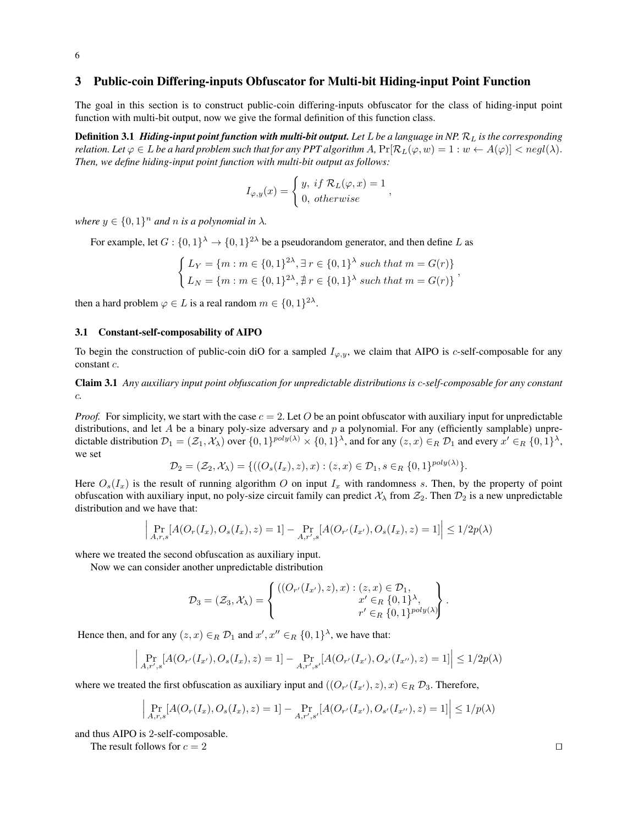# 3 Public-coin Differing-inputs Obfuscator for Multi-bit Hiding-input Point Function

The goal in this section is to construct public-coin differing-inputs obfuscator for the class of hiding-input point function with multi-bit output, now we give the formal definition of this function class.

**Definition 3.1** *Hiding-input point function with multi-bit output.* **Let L be a language in NP.**  $\mathcal{R}_L$  **is the corresponding** *relation. Let*  $\varphi \in L$  *be a hard problem such that for any PPT algorithm A,*  $Pr[\mathcal{R}_L(\varphi, w) = 1 : w \leftarrow A(\varphi)] < negl(\lambda)$ . *Then, we define hiding-input point function with multi-bit output as follows:*

$$
I_{\varphi,y}(x) = \begin{cases} y, & \text{if } \mathcal{R}_L(\varphi, x) = 1 \\ 0, & \text{otherwise} \end{cases}
$$

,

where  $y \in \{0,1\}^n$  and n is a polynomial in  $\lambda$ .

For example, let  $G: \{0,1\}^{\lambda} \to \{0,1\}^{2\lambda}$  be a pseudorandom generator, and then define L as

$$
\begin{cases} L_Y = \{m : m \in \{0, 1\}^{2\lambda}, \exists r \in \{0, 1\}^{\lambda} \text{ such that } m = G(r) \} \\ L_N = \{m : m \in \{0, 1\}^{2\lambda}, \exists r \in \{0, 1\}^{\lambda} \text{ such that } m = G(r) \} \end{cases}
$$

then a hard problem  $\varphi \in L$  is a real random  $m \in \{0,1\}^{2\lambda}$ .

#### 3.1 Constant-self-composability of AIPO

To begin the construction of public-coin diO for a sampled  $I_{\varphi, y}$ , we claim that AIPO is c-self-composable for any constant c.

Claim 3.1 *Any auxiliary input point obfuscation for unpredictable distributions is* c*-self-composable for any constant* c*.*

*Proof.* For simplicity, we start with the case  $c = 2$ . Let O be an point obfuscator with auxiliary input for unpredictable distributions, and let A be a binary poly-size adversary and  $p$  a polynomial. For any (efficiently samplable) unpredictable distribution  $\mathcal{D}_1 = (\mathcal{Z}_1, \mathcal{X}_\lambda)$  over  $\{0, 1\}^{poly(\lambda)} \times \{0, 1\}^\lambda$ , and for any  $(z, x) \in_R \mathcal{D}_1$  and every  $x' \in_R \{0, 1\}^\lambda$ , we set

$$
\mathcal{D}_2 = (\mathcal{Z}_2, \mathcal{X}_\lambda) = \{ ((O_s(I_x), z), x) : (z, x) \in \mathcal{D}_1, s \in_R \{0, 1\}^{poly(\lambda)} \}.
$$

Here  $O_s(I_x)$  is the result of running algorithm O on input  $I_x$  with randomness s. Then, by the property of point obfuscation with auxiliary input, no poly-size circuit family can predict  $\mathcal{X}_{\lambda}$  from  $\mathcal{Z}_2$ . Then  $\mathcal{D}_2$  is a new unpredictable distribution and we have that:

$$
\left| \Pr_{A,r,s}[A(O_r(I_x), O_s(I_x), z) = 1] - \Pr_{A,r',s}[A(O_{r'}(I_{x'}), O_s(I_x), z) = 1] \right| \le 1/2p(\lambda)
$$

where we treated the second obfuscation as auxiliary input.

Now we can consider another unpredictable distribution

$$
\mathcal{D}_3 = (\mathcal{Z}_3, \mathcal{X}_\lambda) = \left\{ \begin{array}{c} ((O_{r'}(I_{x'}), z), x) : (z, x) \in \mathcal{D}_1, \\ x' \in_R \{0, 1\}^\lambda, \\ r' \in_R \{0, 1\}^{poly(\lambda)} \end{array} \right\}.
$$

Hence then, and for any  $(z, x) \in_R \mathcal{D}_1$  and  $x', x'' \in_R \{0, 1\}^{\lambda}$ , we have that:

$$
\left| \Pr_{A,r',s}[A(O_{r'}(I_{x'}), O_s(I_x), z) = 1] - \Pr_{A,r',s'}[A(O_{r'}(I_{x'}), O_{s'}(I_{x''}), z) = 1] \right| \le 1/2p(\lambda)
$$

where we treated the first obfuscation as auxiliary input and  $((O_{r'}(I_{x'}), z), x) \in_R \mathcal{D}_3$ . Therefore,

$$
\left| \Pr_{A,r,s}[A(O_r(I_x), O_s(I_x), z) = 1] - \Pr_{A,r',s'}[A(O_{r'}(I_{x'}), O_{s'}(I_{x''}), z) = 1] \right| \le 1/p(\lambda)
$$

and thus AIPO is 2-self-composable.

The result follows for  $c = 2$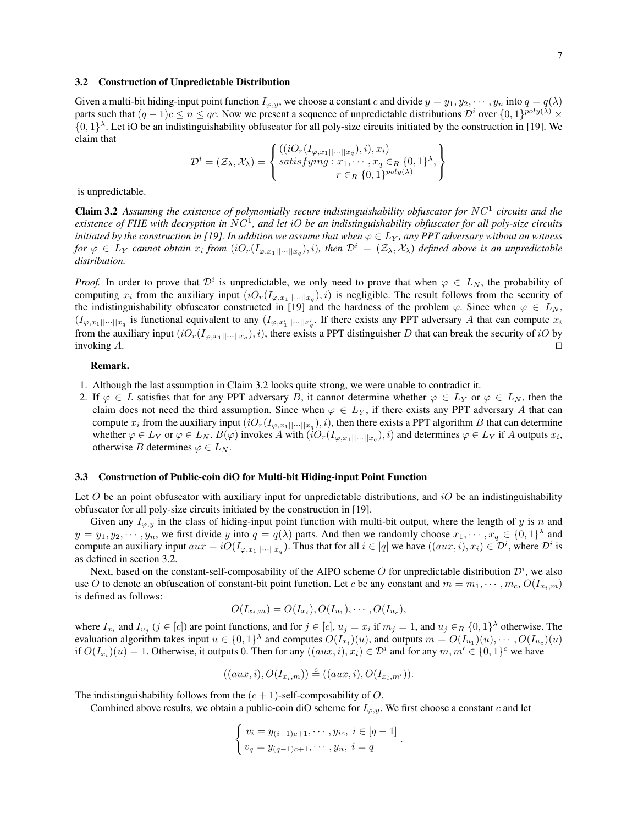#### 3.2 Construction of Unpredictable Distribution

Given a multi-bit hiding-input point function  $I_{\varphi,y}$ , we choose a constant c and divide  $y = y_1, y_2, \dots, y_n$  into  $q = q(\lambda)$ parts such that  $(q-1)c \le n \le qc$ . Now we present a sequence of unpredictable distributions  $\mathcal{D}^i$  over  $\{0,1\}^{poly(\lambda)} \times$  $\{0,1\}^{\lambda}$ . Let iO be an indistinguishability obfuscator for all poly-size circuits initiated by the construction in [19]. We claim that

$$
\mathcal{D}^{i} = (\mathcal{Z}_{\lambda}, \mathcal{X}_{\lambda}) = \left\{ \begin{array}{l} ((iO_{r}(I_{\varphi, x_{1}|\cdot|\cdot|\cdot||x_{q}}), i), x_{i}) \\ satisfying : x_{1}, \cdots, x_{q} \in_{R} \{0, 1\}^{\lambda}, \\ r \in_{R} \{0, 1\}^{poly(\lambda)} \end{array} \right\}
$$

is unpredictable.

Claim 3.2 Assuming the existence of polynomially secure indistinguishability obfuscator for NC<sup>1</sup> circuits and the *existence of FHE with decryption in* NC<sup>1</sup> *, and let* iO *be an indistinguishability obfuscator for all poly-size circuits initiated by the construction in [19]. In addition we assume that when*  $\varphi \in L_Y$ *, any PPT adversary without an witness for*  $\varphi \in L_Y$  *cannot obtain*  $x_i$  *from*  $(iO_r(I_{\varphi,x_1||\cdots||x_q}), i)$ *, then*  $\mathcal{D}^i = (\mathcal{Z}_\lambda,\mathcal{X}_\lambda)$  *defined above is an unpredictable distribution.*

*Proof.* In order to prove that  $\mathcal{D}^i$  is unpredictable, we only need to prove that when  $\varphi \in L_N$ , the probability of computing  $x_i$  from the auxiliary input  $(iO_r(I_{\varphi,x_1||\cdots||x_q}),i)$  is negligible. The result follows from the security of the indistinguishability obfuscator constructed in [19] and the hardness of the problem  $\varphi$ . Since when  $\varphi \in L_N$ ,  $(I_{\varphi,x_1||\cdots||x_q}$  is functional equivalent to any  $(I_{\varphi,x_1'||\cdots||x_q'}$ . If there exists any PPT adversary A that can compute  $x_i$ from the auxiliary input  $(iO_r(I_{\varphi,x_1||\cdots||x_q}), i)$ , there exists a PPT distinguisher D that can break the security of iO by invoking  $A$ .

### Remark.

- 1. Although the last assumption in Claim 3.2 looks quite strong, we were unable to contradict it.
- 2. If  $\varphi \in L$  satisfies that for any PPT adversary B, it cannot determine whether  $\varphi \in L_Y$  or  $\varphi \in L_N$ , then the claim does not need the third assumption. Since when  $\varphi \in L_Y$ , if there exists any PPT adversary A that can compute  $x_i$  from the auxiliary input  $(iO_r(I_{\varphi,x_1||\cdots||x_q}),i)$ , then there exists a PPT algorithm  $B$  that can determine whether  $\varphi \in L_Y$  or  $\varphi \in L_N$ .  $B(\varphi)$  invokes A with  $(iO_r(I_{\varphi,x_1||\cdots||x_q}),i)$  and determines  $\varphi \in L_Y$  if A outputs  $x_i$ , otherwise B determines  $\varphi \in L_N$ .

#### 3.3 Construction of Public-coin diO for Multi-bit Hiding-input Point Function

Let  $O$  be an point obfuscator with auxiliary input for unpredictable distributions, and  $iO$  be an indistinguishability obfuscator for all poly-size circuits initiated by the construction in [19].

Given any  $I_{\varphi, y}$  in the class of hiding-input point function with multi-bit output, where the length of y is n and  $y = y_1, y_2, \dots, y_n$ , we first divide y into  $q = q(\lambda)$  parts. And then we randomly choose  $x_1, \dots, x_q \in \{0, 1\}^{\lambda}$  and compute an auxiliary input  $aux = iO(I_{\varphi,x_1||\cdots||x_q})$ . Thus that for all  $i \in [q]$  we have  $((aux, i), x_i) \in \mathcal{D}^i$ , where  $\mathcal{D}^i$  is as defined in section 3.2.

Next, based on the constant-self-composability of the AIPO scheme O for unpredictable distribution  $\mathcal{D}^i$ , we also use O to denote an obfuscation of constant-bit point function. Let c be any constant and  $m = m_1, \dots, m_c, O(I_{x_i,m})$ is defined as follows:

$$
O(I_{x_i,m}) = O(I_{x_i}), O(I_{u_1}), \cdots, O(I_{u_c}),
$$

where  $I_{x_i}$  and  $I_{u_j}$  ( $j \in [c]$ ) are point functions, and for  $j \in [c]$ ,  $u_j = x_i$  if  $m_j = 1$ , and  $u_j \in_R \{0,1\}^{\lambda}$  otherwise. The evaluation algorithm takes input  $u \in \{0,1\}^{\lambda}$  and computes  $O(I_{x_i})(u)$ , and outputs  $m = O(I_{u_1})(u), \cdots, O(I_{u_c})(u)$ if  $O(I_{x_i})(u) = 1$ . Otherwise, it outputs 0. Then for any  $((aux, i), x_i) \in \mathcal{D}^i$  and for any  $m, m' \in \{0, 1\}^c$  we have

$$
((aux, i), O(I_{x_i,m})) \stackrel{c}{=} ((aux, i), O(I_{x_i,m'})).
$$

The indistinguishability follows from the  $(c + 1)$ -self-composability of O.

Combined above results, we obtain a public-coin diO scheme for  $I_{\varphi, y}$ . We first choose a constant c and let

$$
\begin{cases} v_i = y_{(i-1)c+1}, \cdots, y_{ic}, i \in [q-1] \\ v_q = y_{(q-1)c+1}, \cdots, y_n, i = q \end{cases}
$$

.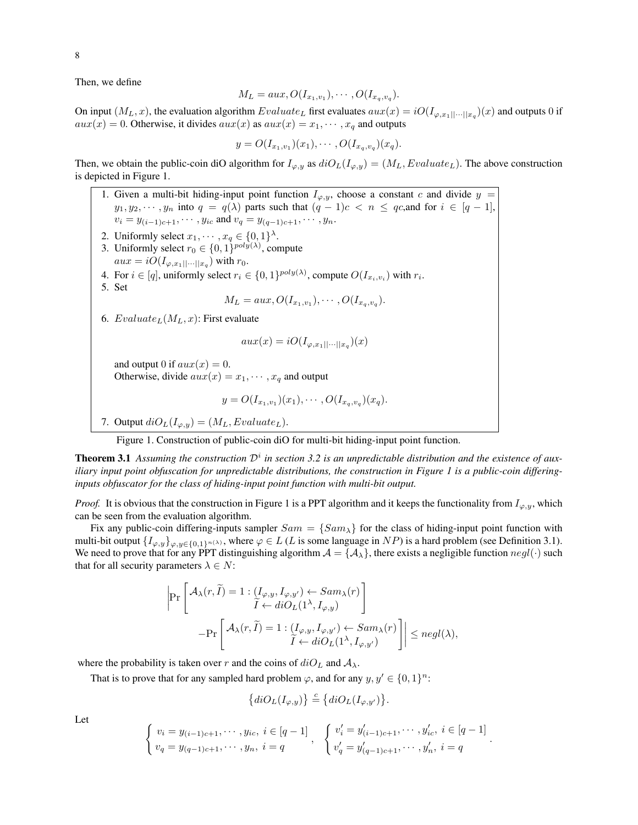Then, we define

$$
M_L = aux, O(I_{x_1,v_1}), \cdots, O(I_{x_q,v_q}).
$$

On input  $(M_L, x)$ , the evaluation algorithm  $Evaluate_L$  first evaluates  $aux(x) = iO(I_{\varphi,x_1||\cdots||x_q})(x)$  and outputs 0 if  $aux(x) = 0$ . Otherwise, it divides  $aux(x)$  as  $aux(x) = x_1, \dots, x_q$  and outputs

$$
y = O(I_{x_1, v_1})(x_1), \cdots, O(I_{x_q, v_q})(x_q).
$$

Then, we obtain the public-coin diO algorithm for  $I_{\varphi,y}$  as  $diO_L(I_{\varphi,y}) = (M_L, Evaluate_L)$ . The above construction is depicted in Figure 1.

1. Given a multi-bit hiding-input point function  $I_{\varphi,y}$ , choose a constant c and divide  $y =$  $y_1, y_2, \dots, y_n$  into  $q = q(\lambda)$  parts such that  $(q - 1)c < n \le qc$ , and for  $i \in [q - 1]$ ,  $v_i = y_{(i-1)c+1}, \cdots, y_{ic}$  and  $v_q = y_{(q-1)c+1}, \cdots, y_n$ . 2. Uniformly select  $x_1, \dots, x_q \in \{0, 1\}^{\lambda}$ . 3. Uniformly select  $r_0 \in \{0, 1\}^{poly(\lambda)}$ , compute  $aux = iO(I_{\varphi,x_1||\cdots||x_q})$  with  $r_0$ . 4. For  $i \in [q]$ , uniformly select  $r_i \in \{0, 1\}^{poly(\lambda)}$ , compute  $O(I_{x_i, v_i})$  with  $r_i$ . 5. Set  $M_L = aux, O(I_{x_1,v_1}), \cdots, O(I_{x_q,v_q}).$ 6.  $Evaluate_L(M_L, x)$ : First evaluate  $aux(x) = iO(I_{\varphi,x_1||\cdots||x_q})(x)$ and output 0 if  $aux(x) = 0$ . Otherwise, divide  $aux(x) = x_1, \dots, x_q$  and output  $y = O(I_{x_1,v_1})(x_1), \cdots, O(I_{x_q,v_q})(x_q).$ 

7. Output  $diO<sub>L</sub>(I<sub>\varphi,y</sub>) = (M<sub>L</sub>, Evaluate<sub>L</sub>).$ 

Figure 1. Construction of public-coin diO for multi-bit hiding-input point function.

**Theorem 3.1** Assuming the construction  $\mathcal{D}^i$  in section 3.2 is an unpredictable distribution and the existence of aux*iliary input point obfuscation for unpredictable distributions, the construction in Figure 1 is a public-coin differinginputs obfuscator for the class of hiding-input point function with multi-bit output.*

*Proof.* It is obvious that the construction in Figure 1 is a PPT algorithm and it keeps the functionality from  $I_{\varphi,y}$ , which can be seen from the evaluation algorithm.

Fix any public-coin differing-inputs sampler  $Sam = \{Sam_\lambda\}$  for the class of hiding-input point function with multi-bit output  $\{I_{\varphi,y}\}_{\varphi,y\in\{0,1\}^{n(\lambda)}},$  where  $\varphi \in L(L)$  is some language in  $NP$ ) is a hard problem (see Definition 3.1). We need to prove that for any PPT distinguishing algorithm  $A = \{A_\lambda\}$ , there exists a negligible function  $negl(\cdot)$  such that for all security parameters  $\lambda \in N$ :

$$
\begin{aligned} \left|\Pr\left[\begin{array}{c} \mathcal{A}_\lambda(r,\widetilde{I})=1:\left(I_{\varphi,y},I_{\varphi,y'}\right)\leftarrow Sam_\lambda(r)\\ \widetilde{I}\leftarrow diO_L(1^\lambda,I_{\varphi,y}) \end{array}\right]\right.\\ \left.-\Pr\left[\begin{array}{c} \mathcal{A}_\lambda(r,\widetilde{I})=1:\left(I_{\varphi,y},I_{\varphi,y'}\right)\leftarrow Sam_\lambda(r)\\ \widetilde{I}\leftarrow diO_L(1^\lambda,I_{\varphi,y'}) \end{array}\right]\right| \leq negl(\lambda), \end{aligned}
$$

where the probability is taken over r and the coins of  $diO<sub>L</sub>$  and  $A<sub>\lambda</sub>$ .

That is to prove that for any sampled hard problem  $\varphi$ , and for any  $y, y' \in \{0, 1\}^n$ :

$$
\big\{diO_L(I_{\varphi,y})\big\} \stackrel{c}{=} \big\{diO_L(I_{\varphi,y'})\big\}.
$$

Let

$$
\begin{cases} v_i = y_{(i-1)c+1}, \cdots, y_{ic}, i \in [q-1] \\ v_q = y_{(q-1)c+1}, \cdots, y_n, i = q \end{cases}, \quad \begin{cases} v'_i = y'_{(i-1)c+1}, \cdots, y'_{ic}, i \in [q-1] \\ v'_q = y'_{(q-1)c+1}, \cdots, y'_n, i = q \end{cases}
$$

.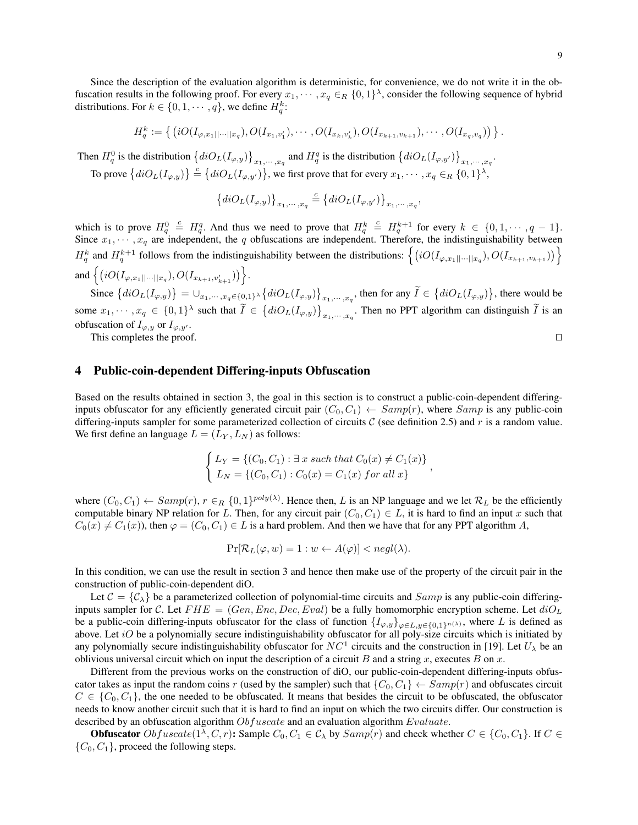Since the description of the evaluation algorithm is deterministic, for convenience, we do not write it in the obfuscation results in the following proof. For every  $x_1, \dots, x_q \in_R \{0,1\}^{\lambda}$ , consider the following sequence of hybrid distributions. For  $k \in \{0, 1, \dots, q\}$ , we define  $H_q^k$ :

$$
H_q^k := \{ (iO(I_{\varphi,x_1||\cdots||x_q}), O(I_{x_1,v'_1}), \cdots, O(I_{x_k,v'_k}), O(I_{x_{k+1},v_{k+1}}), \cdots, O(I_{x_q,v_q})) \}.
$$

Then  $H_q^0$  is the distribution  $\left\{diO_L(I_{\varphi,y})\right\}_{x_1,\dots,x_q}$  and  $H_q^q$  is the distribution  $\left\{diO_L(I_{\varphi,y'})\right\}_{x_1,\dots,x_q}$ .

To prove  $\{diO_L(I_{\varphi,y})\}\stackrel{c}{=} \{diO_L(I_{\varphi,y'})\}$ , we first prove that for every  $x_1, \dots, x_q \in_R \{0,1\}^{\lambda}$ ,

$$
\left\{diO_L(I_{\varphi,y})\right\}_{x_1,\cdots,x_q} \stackrel{c}{=} \left\{diO_L(I_{\varphi,y'})\right\}_{x_1,\cdots,x_q},
$$

which is to prove  $H_q^0 \stackrel{c}{=} H_q^q$ . And thus we need to prove that  $H_q^k \stackrel{c}{=} H_q^{k+1}$  for every  $k \in \{0, 1, \dots, q-1\}$ . Since  $x_1, \dots, x_q$  are independent, the q obfuscations are independent. Therefore, the indistinguishability between  $H_q^k$  and  $H_q^{k+1}$  follows from the indistinguishability between the distributions:  $\{(iO(I_{\varphi,x_1|\cdots||x_q}),O(I_{x_{k+1},v_{k+1}}))\}$ and  $\{ (iO(I_{\varphi,x_1||\cdots||x_q}), O(I_{x_{k+1},v'_{k+1}})) \}.$ 

Since  $\{diO_L(I_{\varphi,y})\} = \bigcup_{x_1,\dots,x_q \in \{0,1\}^{\lambda}} \{diO_L(I_{\varphi,y})\}_{x_1,\dots,x_q}$ , then for any  $\tilde{I} \in \{diO_L(I_{\varphi,y})\}$ , there would be some  $x_1, \dots, x_q \in \{0,1\}^{\lambda}$  such that  $\widetilde{I} \in \{diO_L(I_{\varphi,y})\}_{x_1, \dots, x_q}$ . Then no PPT algorithm can distinguish  $\widetilde{I}$  is an obfuscation of  $I_{\varphi,y}$  or  $I_{\varphi,y'}$ .

This completes the proof.  $\Box$ 

# 4 Public-coin-dependent Differing-inputs Obfuscation

Based on the results obtained in section 3, the goal in this section is to construct a public-coin-dependent differinginputs obfuscator for any efficiently generated circuit pair  $(C_0, C_1) \leftarrow Samp(r)$ , where  $Samp$  is any public-coin differing-inputs sampler for some parameterized collection of circuits  $C$  (see definition 2.5) and r is a random value. We first define an language  $L = (L_Y, L_N)$  as follows:

$$
\begin{cases}\nL_Y = \{ (C_0, C_1) : \exists x \text{ such that } C_0(x) \neq C_1(x) \} \\
L_N = \{ (C_0, C_1) : C_0(x) = C_1(x) \text{ for all } x \}\n\end{cases}
$$

where  $(C_0, C_1) \leftarrow Samp(r), r \in_R \{0, 1\}^{poly(\lambda)}$ . Hence then, L is an NP language and we let  $\mathcal{R}_L$  be the efficiently computable binary NP relation for L. Then, for any circuit pair  $(C_0, C_1) \in L$ , it is hard to find an input x such that  $C_0(x) \neq C_1(x)$ , then  $\varphi = (C_0, C_1) \in L$  is a hard problem. And then we have that for any PPT algorithm A,

$$
\Pr[\mathcal{R}_L(\varphi, w) = 1 : w \leftarrow A(\varphi)] < \text{negl}(\lambda).
$$

In this condition, we can use the result in section 3 and hence then make use of the property of the circuit pair in the construction of public-coin-dependent diO.

Let  $C = \{C_{\lambda}\}\$  be a parameterized collection of polynomial-time circuits and  $Samp$  is any public-coin differinginputs sampler for C. Let  $FHE = (Gen, Enc, Dec,Eval)$  be a fully homomorphic encryption scheme. Let  $diO<sub>L</sub>$ be a public-coin differing-inputs obfuscator for the class of function  $\{I_{\varphi,y}\}_{\varphi\in L,y\in\{0,1\}^{n(\lambda)}},$  where L is defined as above. Let  $iO$  be a polynomially secure indistinguishability obfuscator for all poly-size circuits which is initiated by any polynomially secure indistinguishability obfuscator for  $NC^1$  circuits and the construction in [19]. Let  $U_\lambda$  be an oblivious universal circuit which on input the description of a circuit B and a string x, executes B on x.

Different from the previous works on the construction of diO, our public-coin-dependent differing-inputs obfuscator takes as input the random coins r (used by the sampler) such that  $\{C_0, C_1\} \leftarrow Samp(r)$  and obfuscates circuit  $C \in \{C_0, C_1\}$ , the one needed to be obfuscated. It means that besides the circuit to be obfuscated, the obfuscator needs to know another circuit such that it is hard to find an input on which the two circuits differ. Our construction is described by an obfuscation algorithm  $Obfuscate$  and an evaluation algorithm  $Evaluate$ .

**Obfuscator**  $Obfuscate(1^{\lambda}, C, r)$ : Sample  $C_0, C_1 \in C_{\lambda}$  by  $Samp(r)$  and check whether  $C \in \{C_0, C_1\}$ . If  $C \in$  $\{C_0, C_1\}$ , proceed the following steps.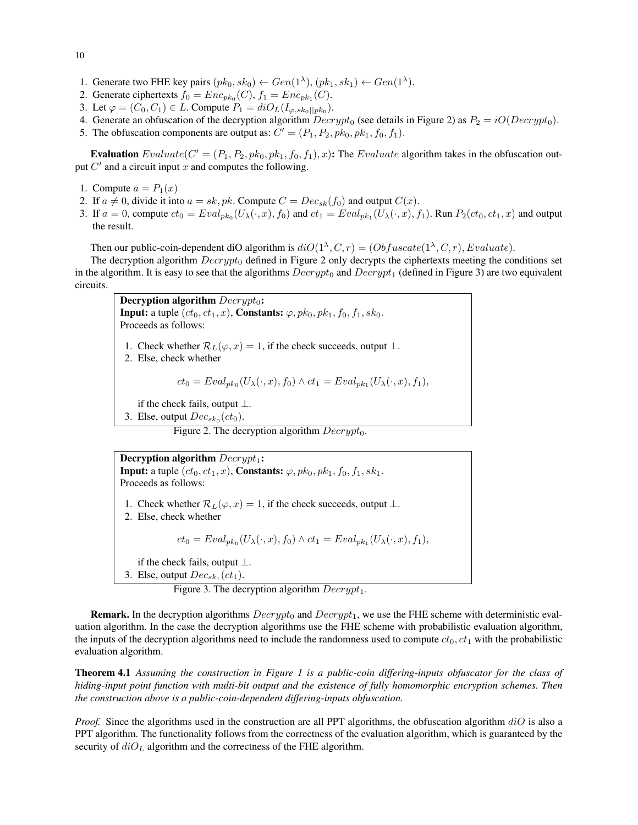- 10
- 1. Generate two FHE key pairs  $(pk_0, sk_0) \leftarrow Gen(1^{\lambda}), (pk_1, sk_1) \leftarrow Gen(1^{\lambda}).$
- 2. Generate ciphertexts  $f_0 = Enc_{pk_0}(C)$ ,  $f_1 = Enc_{pk_1}(C)$ .
- 3. Let  $\varphi = (C_0, C_1) \in L$ . Compute  $P_1 = diO_L(I_{\varphi, sk_0||pk_0}).$
- 4. Generate an obfuscation of the decryption algorithm  $Decrypt_0$  (see details in Figure 2) as  $P_2 = iO(Decrypt_0)$ .
- 5. The obfuscation components are output as:  $C' = (P_1, P_2, pk_0, pk_1, f_0, f_1)$ .

Evaluation  $Evaluate(C' = (P_1, P_2, pk_0, pk_1, f_0, f_1), x)$ : The  $Evaluate$  algorithm takes in the obfuscation output  $C'$  and a circuit input x and computes the following.

- 1. Compute  $a = P_1(x)$
- 2. If  $a \neq 0$ , divide it into  $a = sk, pk$ . Compute  $C = Dec_{sk}(f_0)$  and output  $C(x)$ .
- 3. If  $a = 0$ , compute  $ct_0 = Eval_{pk_0}(U_\lambda(\cdot, x), f_0)$  and  $ct_1 = Eval_{pk_1}(U_\lambda(\cdot, x), f_1)$ . Run  $P_2(ct_0, ct_1, x)$  and output the result.

Then our public-coin-dependent diO algorithm is  $diO(1^{\lambda}, C, r) = (Obfuscate(1^{\lambda}, C, r), Evaluate)$ .

The decryption algorithm  $Decrypt_0$  defined in Figure 2 only decrypts the ciphertexts meeting the conditions set in the algorithm. It is easy to see that the algorithms  $Decrypt_0$  and  $Decrypt_1$  (defined in Figure 3) are two equivalent circuits.

Decryption algorithm  $Decrypt_0$ : **Input:** a tuple  $(ct_0, ct_1, x)$ , **Constants:**  $\varphi$ ,  $pk_0$ ,  $pk_1$ ,  $f_0$ ,  $f_1$ ,  $sk_0$ . Proceeds as follows: 1. Check whether  $\mathcal{R}_L(\varphi, x) = 1$ , if the check succeeds, output  $\bot$ . 2. Else, check whether

$$
ct_0 = Eval_{pk_0}(U_\lambda(\cdot, x), f_0) \wedge ct_1 = Eval_{pk_1}(U_\lambda(\cdot, x), f_1),
$$

if the check fails, output  $\perp$ .

3. Else, output  $Dec_{sk_0}(ct_0)$ .

Figure 2. The decryption algorithm  $Decrypt_0$ .

Decryption algorithm  $Decrypt_1$ : **Input:** a tuple  $(ct_0, ct_1, x)$ , **Constants:**  $\varphi$ ,  $pk_0$ ,  $pk_1$ ,  $f_0$ ,  $f_1$ ,  $sk_1$ . Proceeds as follows: 1. Check whether  $\mathcal{R}_L(\varphi, x) = 1$ , if the check succeeds, output  $\bot$ . 2. Else, check whether  $ct_0 = Eval_{pk_0}(U_\lambda(\cdot, x), f_0) \wedge ct_1 = Eval_{pk_1}(U_\lambda(\cdot, x), f_1),$ if the check fails, output  $\bot$ . 3. Else, output  $Dec_{sk_1}(ct_1)$ .

Figure 3. The decryption algorithm  $Decrypt_1$ .

**Remark.** In the decryption algorithms  $Decrypt_0$  and  $Decrypt_1$ , we use the FHE scheme with deterministic evaluation algorithm. In the case the decryption algorithms use the FHE scheme with probabilistic evaluation algorithm, the inputs of the decryption algorithms need to include the randomness used to compute  $ct_0, ct_1$  with the probabilistic evaluation algorithm.

Theorem 4.1 *Assuming the construction in Figure 1 is a public-coin differing-inputs obfuscator for the class of hiding-input point function with multi-bit output and the existence of fully homomorphic encryption schemes. Then the construction above is a public-coin-dependent differing-inputs obfuscation.*

*Proof.* Since the algorithms used in the construction are all PPT algorithms, the obfuscation algorithm  $diO$  is also a PPT algorithm. The functionality follows from the correctness of the evaluation algorithm, which is guaranteed by the security of  $diO<sub>L</sub>$  algorithm and the correctness of the FHE algorithm.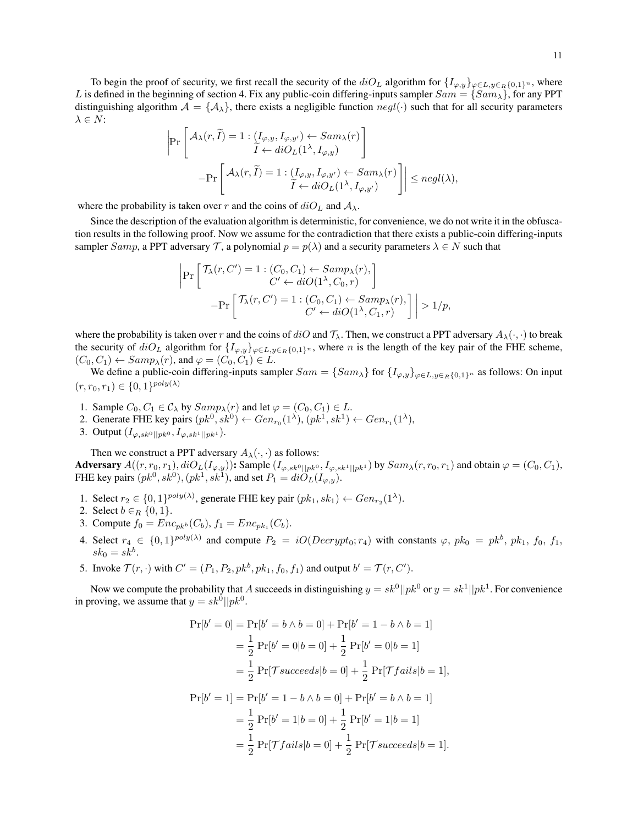To begin the proof of security, we first recall the security of the  $diO<sub>L</sub>$  algorithm for  $\{I_{\varphi,y}\}_{\varphi \in L, y \in_R \{0,1\}^n}$ , where L is defined in the beginning of section 4. Fix any public-coin differing-inputs sampler  $Sam = \{Sam_\lambda\}$ , for any PPT distinguishing algorithm  $A = \{A_{\lambda}\}\$ , there exists a negligible function  $negl(\cdot)$  such that for all security parameters  $\lambda \in N$  :

$$
\begin{aligned} \left|\Pr\left[\begin{array}{c} \mathcal{A}_\lambda(r,\widetilde{I})=1:\left(I_{\varphi,y},I_{\varphi,y'}\right)\leftarrow Sam_\lambda(r)\\ \widetilde{I}\leftarrow diO_L(1^\lambda,I_{\varphi,y}) \end{array}\right]\right.\\ \left.-\Pr\left[\begin{array}{c} \mathcal{A}_\lambda(r,\widetilde{I})=1:\left(I_{\varphi,y},I_{\varphi,y'}\right)\leftarrow Sam_\lambda(r)\\ \widetilde{I}\leftarrow diO_L(1^\lambda,I_{\varphi,y'}) \end{array}\right]\right| \leq negl(\lambda), \end{aligned}
$$

where the probability is taken over r and the coins of  $diO<sub>L</sub>$  and  $A<sub>\lambda</sub>$ .

Since the description of the evaluation algorithm is deterministic, for convenience, we do not write it in the obfuscation results in the following proof. Now we assume for the contradiction that there exists a public-coin differing-inputs sampler Samp, a PPT adversary T, a polynomial  $p = p(\lambda)$  and a security parameters  $\lambda \in N$  such that

$$
\left| \Pr \left[ \begin{array}{c} \mathcal{T}_{\lambda}(r, C') = 1 : (C_0, C_1) \leftarrow Samp_{\lambda}(r), \\ C' \leftarrow diO(1^{\lambda}, C_0, r) \end{array} \right] - \Pr \left[ \begin{array}{c} \mathcal{T}_{\lambda}(r, C') = 1 : (C_0, C_1) \leftarrow Samp_{\lambda}(r), \\ C' \leftarrow diO(1^{\lambda}, C_1, r) \end{array} \right] \right| > 1/p,
$$

where the probability is taken over r and the coins of  $diO$  and  $\mathcal{T}_{\lambda}$ . Then, we construct a PPT adversary  $A_{\lambda}(\cdot, \cdot)$  to break the security of  $diO<sub>L</sub>$  algorithm for  $\{I_{\varphi,y}\}_{\varphi \in L, y \in_R \{0,1\}^n}$ , where n is the length of the key pair of the FHE scheme,  $(C_0, C_1) \leftarrow Samp_{\lambda}(r)$ , and  $\varphi = (C_0, C_1) \in L$ .

We define a public-coin differing-inputs sampler  $Sam = \{Sam_\lambda\}$  for  $\{I_{\varphi,y}\}_{\varphi \in L, y \in_R\{0,1\}^n}$  as follows: On input  $(r, r_0, r_1) \in \{0, 1\}^{poly(\lambda)}$ 

- 1. Sample  $C_0, C_1 \in C_\lambda$  by  $Samp_\lambda(r)$  and let  $\varphi = (C_0, C_1) \in L$ .
- 2. Generate FHE key pairs  $(pk^0, sk^0) \leftarrow Gen_{r_0}(1^{\lambda}), (pk^1, sk^1) \leftarrow Gen_{r_1}(1^{\lambda}),$
- 3. Output  $(I_{\varphi,sk^0||pk^0}, I_{\varphi,sk^1||pk^1}).$

Then we construct a PPT adversary  $A_{\lambda}(\cdot, \cdot)$  as follows: Adversary  $A((r, r_0, r_1), diO<sub>L</sub>(I<sub>\varphi, y</sub>))$ : Sample  $(I_{\varphi, sk^0||pk^0}, I_{\varphi, sk^1||pk^1})$  by  $Sam_\lambda(r, r_0, r_1)$  and obtain  $\varphi = (C_0, C_1)$ , FHE key pairs  $(pk^0, sk^0), (pk^1, sk^1)$ , and set  $P_1 = diO<sub>L</sub>(I<sub>\varphi, y</sub>)$ .

- 1. Select  $r_2 \in \{0,1\}^{poly(\lambda)}$ , generate FHE key pair  $(pk_1, sk_1) \leftarrow Gen_{r_2}(1^{\lambda})$ .
- 2. Select  $b \in_R \{0, 1\}.$
- 3. Compute  $f_0 = Enc_{pk^b}(C_b)$ ,  $f_1 = Enc_{pk_1}(C_b)$ .
- 4. Select  $r_4 \in \{0,1\}^{poly(\lambda)}$  and compute  $P_2 = iO(Decrypt_0; r_4)$  with constants  $\varphi$ ,  $pk_0 = pk^b$ ,  $pk_1$ ,  $f_0$ ,  $f_1$ ,  $sk_0 = sk^b$ .
- 5. Invoke  $\mathcal{T}(r, \cdot)$  with  $C' = (P_1, P_2, pk^b, pk_1, f_0, f_1)$  and output  $b' = \mathcal{T}(r, C')$ .

Now we compute the probability that A succeeds in distinguishing  $y = sk^0||pk^0$  or  $y = sk^1||pk^1$ . For convenience in proving, we assume that  $y = sk^0||pk^0$ .

$$
\Pr[b'=0] = \Pr[b'=b \land b=0] + \Pr[b'=1-b \land b=1]
$$
  
=  $\frac{1}{2}$   $\Pr[b'=0|b=0] + \frac{1}{2}$   $\Pr[b'=0|b=1]$   
=  $\frac{1}{2}$   $\Pr[\mathcal{T} succeeds|b=0] + \frac{1}{2}$   $\Pr[\mathcal{T}fails|b=1],$   
 $\Pr[b'=1] = \Pr[b'=1-b \land b=0] + \Pr[b'=b \land b=1]$   
=  $\frac{1}{2}$   $\Pr[b'=1|b=0] + \frac{1}{2}$   $\Pr[b'=1|b=1]$   
=  $\frac{1}{2}$   $\Pr[\mathcal{T} fails|b=0] + \frac{1}{2}$   $\Pr[\mathcal{T} succeeds|b=1].$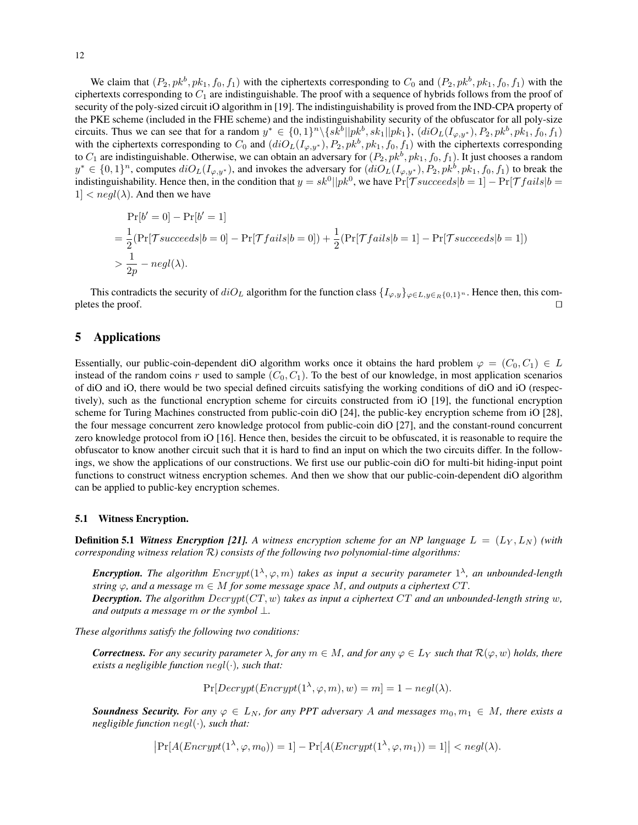We claim that  $(P_2, pk^b, pk_1, f_0, f_1)$  with the ciphertexts corresponding to  $C_0$  and  $(P_2, pk^b, pk_1, f_0, f_1)$  with the ciphertexts corresponding to  $C_1$  are indistinguishable. The proof with a sequence of hybrids follows from the proof of security of the poly-sized circuit iO algorithm in [19]. The indistinguishability is proved from the IND-CPA property of the PKE scheme (included in the FHE scheme) and the indistinguishability security of the obfuscator for all poly-size circuits. Thus we can see that for a random  $y^* \in \{0,1\}^n \setminus \{sk^b||pk^b, sk_1||pk_1\}, (diO_L(I_{\varphi,y^*}), P_2, pk^b, pk_1, f_0, f_1)$ with the ciphertexts corresponding to  $C_0$  and  $(idiO_L(I_{\varphi,y^*}), P_2, pk^b, pk_1, f_0, f_1)$  with the ciphertexts corresponding to  $C_1$  are indistinguishable. Otherwise, we can obtain an adversary for  $(P_2, pk^b, pk_1, f_0, f_1)$ . It just chooses a random  $y^* \in \{0,1\}^n$ , computes  $diO_L(I_{\varphi,y^*})$ , and invokes the adversary for  $(diO_L(I_{\varphi,y^*}), P_2, pk^b, pk_1, f_0, f_1)$  to break the indistinguishability. Hence then, in the condition that  $y = sk^0||pk^0$ , we have  $Pr[\mathcal{T} succeeds|b=1] - Pr[\mathcal{T}fails|b=1]$  $1 < negl(\lambda)$ . And then we have

$$
\Pr[b' = 0] - \Pr[b' = 1]
$$
  
=  $\frac{1}{2}(\Pr[\mathcal{T} succeeds|b = 0] - \Pr[\mathcal{T}fails|b = 0]) + \frac{1}{2}(\Pr[\mathcal{T}fails|b = 1] - \Pr[\mathcal{T} succeeds|b = 1])$   
>  $\frac{1}{2p} - negl(\lambda)$ .

This contradicts the security of  $diO<sub>L</sub>$  algorithm for the function class  $\{I<sub>\varphi,y\}_{\varphi\in L, y\in_R\{0,1\}^n}</sub>$ . Hence then, this completes the proof.  $\Box$ 

# 5 Applications

Essentially, our public-coin-dependent diO algorithm works once it obtains the hard problem  $\varphi = (C_0, C_1) \in L$ instead of the random coins r used to sample  $(C_0, C_1)$ . To the best of our knowledge, in most application scenarios of diO and iO, there would be two special defined circuits satisfying the working conditions of diO and iO (respectively), such as the functional encryption scheme for circuits constructed from iO [19], the functional encryption scheme for Turing Machines constructed from public-coin diO [24], the public-key encryption scheme from iO [28], the four message concurrent zero knowledge protocol from public-coin diO [27], and the constant-round concurrent zero knowledge protocol from iO [16]. Hence then, besides the circuit to be obfuscated, it is reasonable to require the obfuscator to know another circuit such that it is hard to find an input on which the two circuits differ. In the followings, we show the applications of our constructions. We first use our public-coin diO for multi-bit hiding-input point functions to construct witness encryption schemes. And then we show that our public-coin-dependent diO algorithm can be applied to public-key encryption schemes.

#### 5.1 Witness Encryption.

**Definition 5.1** *Witness Encryption [21].* A witness encryption scheme for an NP language  $L = (L_Y, L_N)$  (with *corresponding witness relation* R*) consists of the following two polynomial-time algorithms:*

**Encryption.** The algorithm  $\text{Encrypt}(1^{\lambda}, \varphi, m)$  takes as input a security parameter  $1^{\lambda}$ , an unbounded-length *string*  $\varphi$ , and a message  $m \in M$  *for some message space* M, and outputs a ciphertext CT. *Decryption. The algorithm* Decrypt(CT, w) *takes as input a ciphertext* CT *and an unbounded-length string* w*,*

*These algorithms satisfy the following two conditions:*

*and outputs a message* m *or the symbol* ⊥*.*

*Correctness. For any security parameter*  $\lambda$ , *for any*  $m \in M$ , *and for any*  $\varphi \in L_Y$  *such that*  $\mathcal{R}(\varphi, w)$  *holds, there exists a negligible function* negl(·)*, such that:*

 $Pr[Decrypt(Encrypt(1^{\lambda}, \varphi, m), w) = m] = 1 - negl(\lambda).$ 

*Soundness Security. For any*  $\varphi \in L_N$ , for any PPT adversary A and messages  $m_0, m_1 \in M$ , there exists a *negligible function* negl(·)*, such that:*

 $\left|\Pr[A(Energy \mathcal{A}), \varphi, m_0)] = 1\right] - \Pr[A(Energy \mathcal{A}), \varphi, m_1)] = 1] < negl(\lambda).$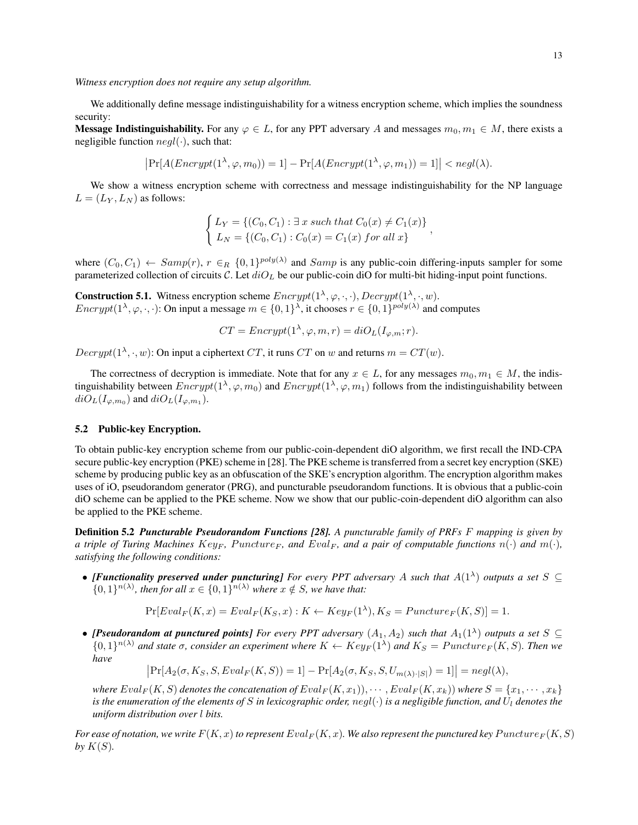*Witness encryption does not require any setup algorithm.*

We additionally define message indistinguishability for a witness encryption scheme, which implies the soundness security:

Message Indistinguishability. For any  $\varphi \in L$ , for any PPT adversary A and messages  $m_0, m_1 \in M$ , there exists a negligible function  $neq(\cdot)$ , such that:

$$
\left|\Pr[A(Encrypt(1^{\lambda}, \varphi, m_0)) = 1] - \Pr[A(Encrypt(1^{\lambda}, \varphi, m_1)) = 1]\right| < negl(\lambda).
$$

We show a witness encryption scheme with correctness and message indistinguishability for the NP language  $L = (L_Y, L_N)$  as follows:

$$
\begin{cases}\nL_Y = \{ (C_0, C_1) : \exists x \text{ such that } C_0(x) \neq C_1(x) \} \\
L_N = \{ (C_0, C_1) : C_0(x) = C_1(x) \text{ for all } x \}\n\end{cases}
$$

where  $(C_0, C_1) \leftarrow Samp(r)$ ,  $r \in_R \{0, 1\}^{poly(\lambda)}$  and  $Samp$  is any public-coin differing-inputs sampler for some parameterized collection of circuits C. Let  $diO<sub>L</sub>$  be our public-coin diO for multi-bit hiding-input point functions.

**Construction 5.1.** Witness encryption scheme  $Energy(1^{\lambda}, \varphi, \cdot, \cdot)$ ,  $Decrypt(1^{\lambda}, \cdot, w)$ . Encrypt( $1^{\lambda}, \varphi, \cdot, \cdot$ ): On input a message  $m \in \{0, 1\}^{\lambda}$ , it chooses  $r \in \{0, 1\}^{poly(\lambda)}$  and computes

 $CT = \text{Energy}(1^{\lambda}, \varphi, m, r) = diO<sub>L</sub>(I<sub>\varphi,m</sub>; r).$ 

 $Decrypt(1^{\lambda}, \cdot, w)$ : On input a ciphertext CT, it runs CT on w and returns  $m = CT(w)$ .

The correctness of decryption is immediate. Note that for any  $x \in L$ , for any messages  $m_0, m_1 \in M$ , the indistinguishability between  $\text{Encrypt}(1^{\lambda}, \varphi, m_0)$  and  $\text{Encrypt}(1^{\lambda}, \varphi, m_1)$  follows from the indistinguishability between  $diO_L(I_{\varphi,m_0})$  and  $diO_L(I_{\varphi,m_1})$ .

# 5.2 Public-key Encryption.

To obtain public-key encryption scheme from our public-coin-dependent diO algorithm, we first recall the IND-CPA secure public-key encryption (PKE) scheme in [28]. The PKE scheme is transferred from a secret key encryption (SKE) scheme by producing public key as an obfuscation of the SKE's encryption algorithm. The encryption algorithm makes uses of iO, pseudorandom generator (PRG), and puncturable pseudorandom functions. It is obvious that a public-coin diO scheme can be applied to the PKE scheme. Now we show that our public-coin-dependent diO algorithm can also be applied to the PKE scheme.

Definition 5.2 *Puncturable Pseudorandom Functions [28]. A puncturable family of PRFs* F *mapping is given by a triple of Turing Machines Key<sub>F</sub>, Puncture<sub>F</sub>, and Eval<sub>F</sub>, and a pair of computable functions*  $n(\cdot)$  *and*  $m(\cdot)$ *, satisfying the following conditions:*

• *[Functionality preserved under puncturing] For every PPT adversary A such that*  $A(1^{\lambda})$  *outputs a set*  $S \subseteq$  $\{0,1\}^{n(\lambda)}$ , then for all  $x \in \{0,1\}^{n(\lambda)}$  where  $x \notin S$ , we have that:

 $Pr[Eval_F(K, x) =Eval_F(K_S, x) : K \leftarrow Key_F(1^{\lambda}), K_S = Puncture_F(K, S)] = 1.$ 

• *[Pseudorandom at punctured points] For every PPT adversary*  $(A_1, A_2)$  *such that*  $A_1(1^{\lambda})$  *outputs a set*  $S \subseteq$  $\{0,1\}^{n(\lambda)}$  and state  $\sigma$ , consider an experiment where  $K \leftarrow Key_F(1^{\lambda})$  and  $K_S = Puncture_F(K, S)$ . Then we *have*

 $\left|\Pr[A_2(\sigma, K_S, S,Eval_F(K, S)) = 1] - \Pr[A_2(\sigma, K_S, S, U_{m(\lambda) \cdot |S|}) = 1]\right| = negl(\lambda),$ 

*where*  $Eval_F(K, S)$  *denotes the concatenation of*  $Eval_F(K, x_1), \cdots$ ,  $Eval_F(K, x_k)$ *) where*  $S = \{x_1, \cdots, x_k\}$ *is the enumeration of the elements of* S *in lexicographic order, negl*( $\cdot$ ) *is a negligible function, and*  $U_l$  *denotes the uniform distribution over* l *bits.*

For ease of notation, we write  $F(K, x)$  to represent  $Eval_F(K, x)$ . We also represent the punctured key Puncture<sub>F</sub>  $(K, S)$ by  $K(S)$ .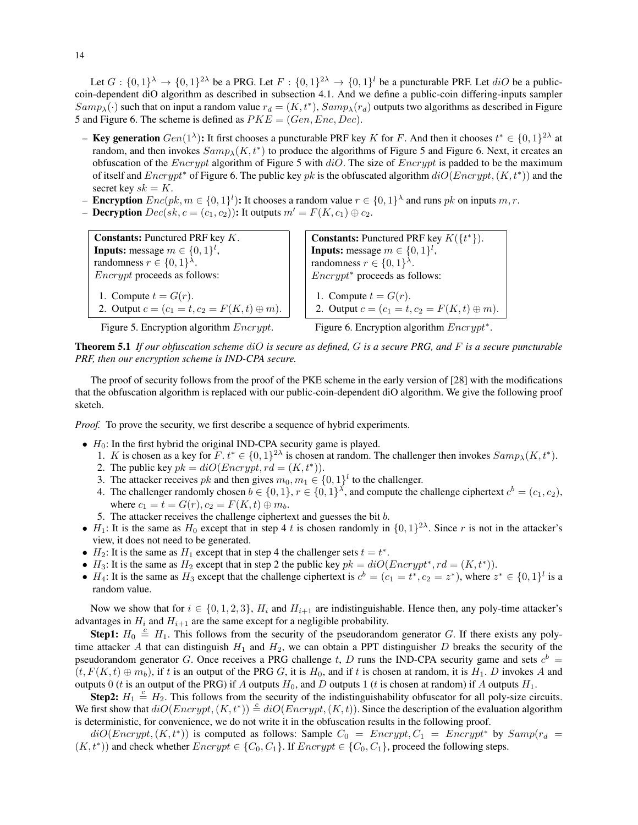Let  $G: \{0,1\}^{\lambda} \to \{0,1\}^{2\lambda}$  be a PRG. Let  $F: \{0,1\}^{2\lambda} \to \{0,1\}^l$  be a puncturable PRF. Let  $diO$  be a publiccoin-dependent diO algorithm as described in subsection 4.1. And we define a public-coin differing-inputs sampler  $Samp_{\lambda}(\cdot)$  such that on input a random value  $r_d = (K, t^*)$ ,  $Samp_{\lambda}(r_d)$  outputs two algorithms as described in Figure 5 and Figure 6. The scheme is defined as  $PKE = (Gen, Enc, Dec).$ 

- Key generation  $Gen(1^{\lambda})$ : It first chooses a puncturable PRF key K for F. And then it chooses  $t^* \in \{0,1\}^{2\lambda}$  at random, and then invokes  $Samp_{\lambda}(K, t^*)$  to produce the algorithms of Figure 5 and Figure 6. Next, it creates an obfuscation of the *Encrypt* algorithm of Figure 5 with  $diO$ . The size of *Encrypt* is padded to be the maximum of itself and  $\text{Encrypt}^*$  of Figure 6. The public key pk is the obfuscated algorithm  $diO(\text{Encrypt}, (K, t^*))$  and the secret key  $sk = K$ .
- **Encryption**  $Enc(pk, m \in \{0, 1\}^l)$ : It chooses a random value  $r \in \{0, 1\}^{\lambda}$  and runs pk on inputs m, r.
- **Decryption**  $Dec(sk, c = (c_1, c_2)$ : It outputs  $m' = F(K, c_1) \oplus c_2$ .

Constants: Punctured PRF key K. **Inputs:** message  $m \in \{0, 1\}^l$ , randomness  $r \in \{0, 1\}^{\lambda}$ . Encrypt proceeds as follows: 1. Compute  $t = G(r)$ .

2. Output  $c = (c_1 = t, c_2 = F(K, t) \oplus m)$ .

**Constants:** Punctured PRF key  $K({t^*})$ . **Inputs:** message  $m \in \{0, 1\}^l$ , randomness  $r \in \{0,1\}^{\lambda}$ . Encrypt<sup>∗</sup> proceeds as follows: 1. Compute  $t = G(r)$ . 2. Output  $c = (c_1 = t, c_2 = F(K, t) \oplus m)$ .

Figure 5. Encryption algorithm  $\text{Encrypt.}$  Figure 6. Encryption algorithm  $\text{Encrypt}^*$ .

Theorem 5.1 *If our obfuscation scheme* diO *is secure as defined,* G *is a secure PRG, and* F *is a secure puncturable PRF, then our encryption scheme is IND-CPA secure.*

The proof of security follows from the proof of the PKE scheme in the early version of [28] with the modifications that the obfuscation algorithm is replaced with our public-coin-dependent diO algorithm. We give the following proof sketch.

*Proof.* To prove the security, we first describe a sequence of hybrid experiments.

- $H_0$ : In the first hybrid the original IND-CPA security game is played.
	- 1. K is chosen as a key for  $F \, t^* \in \{0,1\}^{2\lambda}$  is chosen at random. The challenger then invokes  $Samp_{\lambda}(K, t^*)$ .
	- 2. The public key  $pk = diO(Encrypt, rd = (K, t^*)).$
	- 3. The attacker receives  $pk$  and then gives  $m_0, m_1 \in \{0, 1\}^l$  to the challenger.
	- 4. The challenger randomly chosen  $b \in \{0,1\}$ ,  $r \in \{0,1\}^{\lambda}$ , and compute the challenge ciphertext  $c^b = (c_1, c_2)$ , where  $c_1 = t = G(r), c_2 = F(K, t) \oplus m_b$ .
	- 5. The attacker receives the challenge ciphertext and guesses the bit b.
- $H_1$ : It is the same as  $H_0$  except that in step 4 t is chosen randomly in  $\{0,1\}^{2\lambda}$ . Since r is not in the attacker's view, it does not need to be generated.
- $H_2$ : It is the same as  $H_1$  except that in step 4 the challenger sets  $t = t^*$ .
- $H_3$ : It is the same as  $H_2$  except that in step 2 the public key  $pk = diO(Encrypt^*, rd = (K, t^*)$ .
- $H_4$ : It is the same as  $H_3$  except that the challenge ciphertext is  $c^b = (c_1 = t^*, c_2 = z^*)$ , where  $z^* \in \{0, 1\}^l$  is a random value.

Now we show that for  $i \in \{0, 1, 2, 3\}$ ,  $H_i$  and  $H_{i+1}$  are indistinguishable. Hence then, any poly-time attacker's advantages in  $H_i$  and  $H_{i+1}$  are the same except for a negligible probability.

**Step1:**  $H_0 \stackrel{c}{=} H_1$ . This follows from the security of the pseudorandom generator G. If there exists any polytime attacker A that can distinguish  $H_1$  and  $H_2$ , we can obtain a PPT distinguisher D breaks the security of the pseudorandom generator G. Once receives a PRG challenge t, D runs the IND-CPA security game and sets  $c<sup>b</sup>$  =  $(t, F(K, t) \oplus m_b)$ , if t is an output of the PRG G, it is  $H_0$ , and if t is chosen at random, it is  $H_1$ . D invokes A and outputs 0 (t is an output of the PRG) if A outputs H<sub>0</sub>, and D outputs 1 (t is chosen at random) if A outputs  $H_1$ .

**Step2:**  $H_1 \stackrel{c}{=} H_2$ . This follows from the security of the indistinguishability obfuscator for all poly-size circuits. We first show that  $diO(Encrypt, (K, t^*)) \stackrel{c}{=} diO(Encrypt, (K, t))$ . Since the description of the evaluation algorithm is deterministic, for convenience, we do not write it in the obfuscation results in the following proof.

 $diO(Encrypt, (K, t^*))$  is computed as follows: Sample  $C_0 = Encrypt, C_1 = Encrypt^*$  by  $Samp(r_d =$  $(K, t^*)$ ) and check whether  $\text{Encrypt} \in \{C_0, C_1\}$ . If  $\text{Encrypt} \in \{C_0, C_1\}$ , proceed the following steps.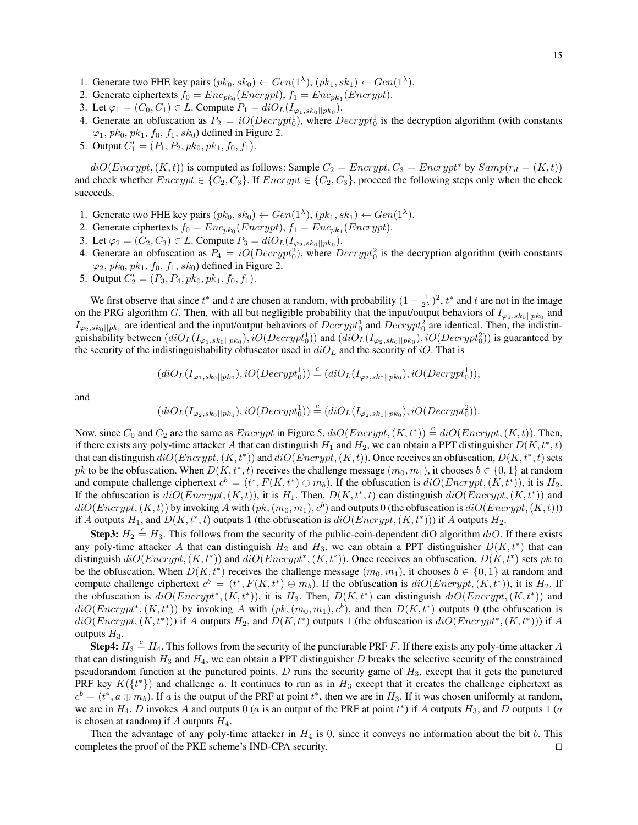- 1. Generate two FHE key pairs  $(pk_0, sk_0) \leftarrow Gen(1^{\lambda}), (pk_1, sk_1) \leftarrow Gen(1^{\lambda}).$
- 2. Generate ciphertexts  $f_0 = Enc_{pk_0}(Encrypt)$ ,  $f_1 = Enc_{pk_1}(Encrypt)$ .
- 3. Let  $\varphi_1 = (C_0, C_1) \in L$ . Compute  $P_1 = diO_L(I_{\varphi_1, sk_0||pk_0}).$
- 4. Generate an obfuscation as  $P_2 = iO(Decrypt_0^1)$ , where  $Decrypt_0^1$  is the decryption algorithm (with constants  $\varphi_1$ ,  $pk_0$ ,  $pk_1$ ,  $f_0$ ,  $f_1$ ,  $sk_0$ ) defined in Figure 2.
- 5. Output  $C'_1 = (P_1, P_2, pk_0, pk_1, f_0, f_1)$ .

 $diO(Encrypt, (K, t))$  is computed as follows: Sample  $C_2 = Encrypt, C_3 = Encrypt^*$  by  $Samp(r_d = (K, t))$ and check whether  $Energy \in \{C_2, C_3\}$ . If  $Energy \in \{C_2, C_3\}$ , proceed the following steps only when the check succeeds.

- 1. Generate two FHE key pairs  $(pk_0, sk_0) \leftarrow Gen(1^{\lambda}), (pk_1, sk_1) \leftarrow Gen(1^{\lambda}).$
- 2. Generate ciphertexts  $f_0 = Enc_{pk_0}(Encrypt)$ ,  $f_1 = Enc_{pk_1}(Encrypt)$ .
- 3. Let  $\varphi_2 = (C_2, C_3) \in L$ . Compute  $P_3 = diO_L(I_{\varphi_2, sk_0||pk_0}).$
- 4. Generate an obfuscation as  $P_4 = iO(Decrypt_0^2)$ , where  $Decrypt_0^2$  is the decryption algorithm (with constants  $\varphi_2$ ,  $pk_0$ ,  $pk_1$ ,  $f_0$ ,  $f_1$ ,  $sk_0$ ) defined in Figure 2.
- 5. Output  $C'_2 = (P_3, P_4, pk_0, pk_1, f_0, f_1)$ .

We first observe that since  $t^*$  and t are chosen at random, with probability  $(1 - \frac{1}{2^{\lambda}})^2$ ,  $t^*$  and t are not in the image on the PRG algorithm G. Then, with all but negligible probability that the input/output behaviors of  $I_{\varphi_1,sk_0||pk_0}$  and  $I_{\varphi_2,sk_0||pk_0}$  are identical and the input/output behaviors of  $Decrypt_0^1$  and  $Decrypt_0^2$  are identical. Then, the indistinguishability between  $(idO_L(I_{\varphi_1,sk_0||pk_0}), iO(Decrypt_0^1))$  and  $(idO_L(I_{\varphi_2,sk_0||pk_0}), iO(Decrypt_0^2))$  is guaranteed by the security of the indistinguishability obfuscator used in  $diO<sub>L</sub>$  and the security of iO. That is

$$
(diO_L(I_{\varphi_1,sk_0||pk_0}), iO(Decrypt_0^1)) \stackrel{c}{=} (diO_L(I_{\varphi_2,sk_0||pk_0}), iO(Decrypt_0^1)),
$$

and

$$
(diO_{L}(I_{\varphi_{2},sk_{0}||pk_{0}}), iO(Decrypt_{0}^{1})) \stackrel{c}{=} (diO_{L}(I_{\varphi_{2},sk_{0}||pk_{0}}), iO(Decrypt_{0}^{2})).
$$

Now, since  $C_0$  and  $C_2$  are the same as  $\text{Energy}$  in Figure 5,  $diO(\text{Energy}, (K, t^*)) \stackrel{c}{=} diO(\text{Energy}, (K, t))$ . Then, if there exists any poly-time attacker A that can distinguish  $H_1$  and  $H_2$ , we can obtain a PPT distinguisher  $D(K, t^*, t)$ that can distinguish  $diO(Encrypt, (K, t^*))$  and  $diO(Encrypt, (K, t))$ . Once receives an obfuscation,  $D(K, t^*, t)$  sets pk to be the obfuscation. When  $D(K, t^*, t)$  receives the challenge message  $(m_0, m_1)$ , it chooses  $b \in \{0, 1\}$  at random and compute challenge ciphertext  $c^b = (t^*, F(K, t^*) \oplus m_b)$ . If the obfuscation is  $diO(Encrypt, (K, t^*))$ , it is  $H_2$ . If the obfuscation is  $diO(Encrypt, (K, t))$ , it is  $H_1$ . Then,  $D(K, t^*, t)$  can distinguish  $diO(Encrypt, (K, t^*))$  and  $diO(Encrypt, (K, t))$  by invoking A with  $(pk, (m_0, m_1), c^b)$  and outputs 0 (the obfuscation is  $diO(Encrypt, (K, t))$ ) if A outputs  $H_1$ , and  $D(K, t^*, t)$  outputs 1 (the obfuscation is  $diO(Encrypt, (K, t^*)))$  if A outputs  $H_2$ .

**Step3:**  $H_2 \triangleq H_3$ . This follows from the security of the public-coin-dependent diO algorithm  $diO$ . If there exists any poly-time attacker A that can distinguish  $H_2$  and  $H_3$ , we can obtain a PPT distinguisher  $D(K, t^*)$  that can distinguish  $diO(Encrypt, (K, t^*))$  and  $diO(Encrypt^*, (K, t^*))$ . Once receives an obfuscation,  $D(K, t^*)$  sets pk to be the obfuscation. When  $D(K, t^*)$  receives the challenge message  $(m_0, m_1)$ , it chooses  $b \in \{0, 1\}$  at random and compute challenge ciphertext  $c^b = (t^*, F(K, t^*) \oplus m_b)$ . If the obfuscation is  $diO(Encrypt, (K, t^*))$ , it is  $H_2$ . If the obfuscation is  $diO(Encrypt^*, (K, t^*))$ , it is  $H_3$ . Then,  $D(K, t^*)$  can distinguish  $diO(Encrypt, (K, t^*))$  and  $diO(Encrypt^*, (K, t^*))$  by invoking A with  $(pk, (m_0, m_1), c^b)$ , and then  $D(K, t^*)$  outputs 0 (the obfuscation is  $diO(Encrypt, (K, t^*))$  if A outputs  $H_2$ , and  $D(K, t^*)$  outputs 1 (the obfuscation is  $diO(Encrypt^*, (K, t^*))$ ) if A outputs  $H_3$ .

**Step4:**  $H_3 \stackrel{c}{=} H_4$ . This follows from the security of the puncturable PRF F. If there exists any poly-time attacker A that can distinguish  $H_3$  and  $H_4$ , we can obtain a PPT distinguisher D breaks the selective security of the constrained pseudorandom function at the punctured points.  $D$  runs the security game of  $H_3$ , except that it gets the punctured PRF key  $K({t^*})$  and challenge a. It continues to run as in  $H_3$  except that it creates the challenge ciphertext as  $c^b = (t^*, a \oplus m_b)$ . If a is the output of the PRF at point  $t^*$ , then we are in  $H_3$ . If it was chosen uniformly at random, we are in  $H_4$ . D invokes A and outputs 0 (*a* is an output of the PRF at point  $t^*$ ) if A outputs  $H_3$ , and D outputs 1 (*a* is chosen at random) if A outputs  $H_4$ .

Then the advantage of any poly-time attacker in  $H_4$  is 0, since it conveys no information about the bit b. This completes the proof of the PKE scheme's IND-CPA security.  $\Box$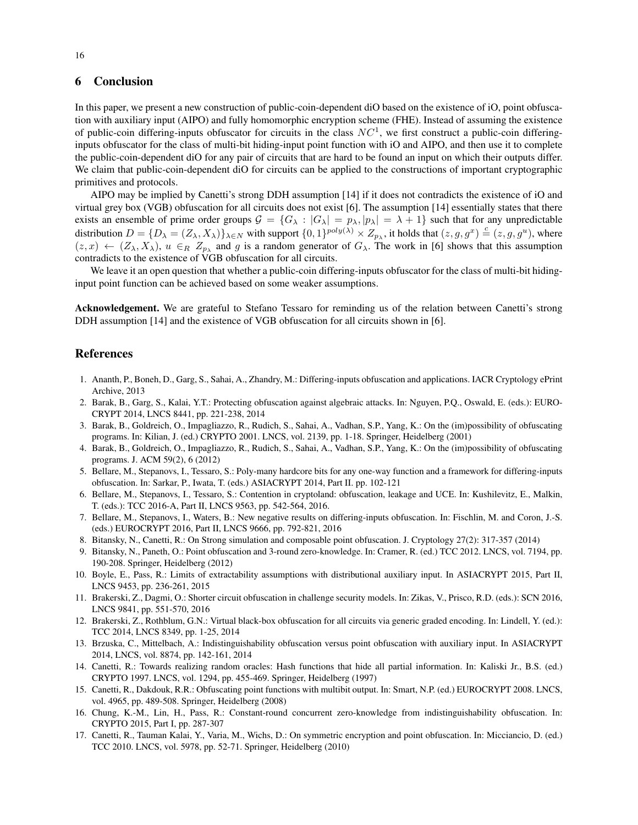# 6 Conclusion

In this paper, we present a new construction of public-coin-dependent diO based on the existence of iO, point obfuscation with auxiliary input (AIPO) and fully homomorphic encryption scheme (FHE). Instead of assuming the existence of public-coin differing-inputs obfuscator for circuits in the class  $NC<sup>1</sup>$ , we first construct a public-coin differinginputs obfuscator for the class of multi-bit hiding-input point function with iO and AIPO, and then use it to complete the public-coin-dependent diO for any pair of circuits that are hard to be found an input on which their outputs differ. We claim that public-coin-dependent diO for circuits can be applied to the constructions of important cryptographic primitives and protocols.

AIPO may be implied by Canetti's strong DDH assumption [14] if it does not contradicts the existence of iO and virtual grey box (VGB) obfuscation for all circuits does not exist [6]. The assumption [14] essentially states that there exists an ensemble of prime order groups  $G = \{G_\lambda : |G_\lambda| = p_\lambda, |p_\lambda| = \lambda + 1\}$  such that for any unpredictable distribution  $D = \{D_\lambda = (Z_\lambda, X_\lambda)\}_{\lambda \in N}$  with support  $\{0, 1\}^{poly(\lambda)} \times Z_{p_\lambda}$ , it holds that  $(z, g, g^x) \stackrel{c}{=} (z, g, g^u)$ , where  $(z, x) \leftarrow (Z_\lambda, X_\lambda), u \in_R Z_{p_\lambda}$  and g is a random generator of  $G_\lambda$ . The work in [6] shows that this assumption contradicts to the existence of VGB obfuscation for all circuits.

We leave it an open question that whether a public-coin differing-inputs obfuscator for the class of multi-bit hidinginput point function can be achieved based on some weaker assumptions.

Acknowledgement. We are grateful to Stefano Tessaro for reminding us of the relation between Canetti's strong DDH assumption [14] and the existence of VGB obfuscation for all circuits shown in [6].

# References

- 1. Ananth, P., Boneh, D., Garg, S., Sahai, A., Zhandry, M.: Differing-inputs obfuscation and applications. IACR Cryptology ePrint Archive, 2013
- 2. Barak, B., Garg, S., Kalai, Y.T.: Protecting obfuscation against algebraic attacks. In: Nguyen, P.Q., Oswald, E. (eds.): EURO-CRYPT 2014, LNCS 8441, pp. 221-238, 2014
- 3. Barak, B., Goldreich, O., Impagliazzo, R., Rudich, S., Sahai, A., Vadhan, S.P., Yang, K.: On the (im)possibility of obfuscating programs. In: Kilian, J. (ed.) CRYPTO 2001. LNCS, vol. 2139, pp. 1-18. Springer, Heidelberg (2001)
- 4. Barak, B., Goldreich, O., Impagliazzo, R., Rudich, S., Sahai, A., Vadhan, S.P., Yang, K.: On the (im)possibility of obfuscating programs. J. ACM 59(2), 6 (2012)
- 5. Bellare, M., Stepanovs, I., Tessaro, S.: Poly-many hardcore bits for any one-way function and a framework for differing-inputs obfuscation. In: Sarkar, P., Iwata, T. (eds.) ASIACRYPT 2014, Part II. pp. 102-121
- 6. Bellare, M., Stepanovs, I., Tessaro, S.: Contention in cryptoland: obfuscation, leakage and UCE. In: Kushilevitz, E., Malkin, T. (eds.): TCC 2016-A, Part II, LNCS 9563, pp. 542-564, 2016.
- 7. Bellare, M., Stepanovs, I., Waters, B.: New negative results on differing-inputs obfuscation. In: Fischlin, M. and Coron, J.-S. (eds.) EUROCRYPT 2016, Part II, LNCS 9666, pp. 792-821, 2016
- 8. Bitansky, N., Canetti, R.: On Strong simulation and composable point obfuscation. J. Cryptology 27(2): 317-357 (2014)
- 9. Bitansky, N., Paneth, O.: Point obfuscation and 3-round zero-knowledge. In: Cramer, R. (ed.) TCC 2012. LNCS, vol. 7194, pp. 190-208. Springer, Heidelberg (2012)
- 10. Boyle, E., Pass, R.: Limits of extractability assumptions with distributional auxiliary input. In ASIACRYPT 2015, Part II, LNCS 9453, pp. 236-261, 2015
- 11. Brakerski, Z., Dagmi, O.: Shorter circuit obfuscation in challenge security models. In: Zikas, V., Prisco, R.D. (eds.): SCN 2016, LNCS 9841, pp. 551-570, 2016
- 12. Brakerski, Z., Rothblum, G.N.: Virtual black-box obfuscation for all circuits via generic graded encoding. In: Lindell, Y. (ed.): TCC 2014, LNCS 8349, pp. 1-25, 2014
- 13. Brzuska, C., Mittelbach, A.: Indistinguishability obfuscation versus point obfuscation with auxiliary input. In ASIACRYPT 2014, LNCS, vol. 8874, pp. 142-161, 2014
- 14. Canetti, R.: Towards realizing random oracles: Hash functions that hide all partial information. In: Kaliski Jr., B.S. (ed.) CRYPTO 1997. LNCS, vol. 1294, pp. 455-469. Springer, Heidelberg (1997)
- 15. Canetti, R., Dakdouk, R.R.: Obfuscating point functions with multibit output. In: Smart, N.P. (ed.) EUROCRYPT 2008. LNCS, vol. 4965, pp. 489-508. Springer, Heidelberg (2008)
- 16. Chung, K.-M., Lin, H., Pass, R.: Constant-round concurrent zero-knowledge from indistinguishability obfuscation. In: CRYPTO 2015, Part I, pp. 287-307
- 17. Canetti, R., Tauman Kalai, Y., Varia, M., Wichs, D.: On symmetric encryption and point obfuscation. In: Micciancio, D. (ed.) TCC 2010. LNCS, vol. 5978, pp. 52-71. Springer, Heidelberg (2010)